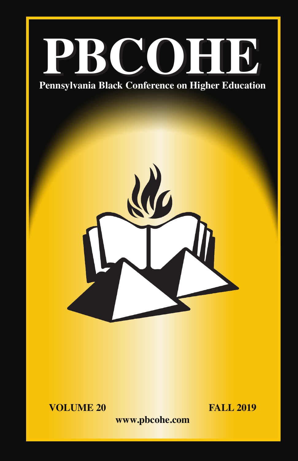



**VOLUME 20 FALL 2019** 

**www.pbcohe.com**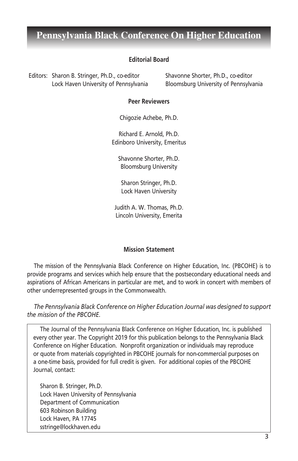#### **Editorial Board**

 Editors: Sharon B. Stringer, Ph.D., co-editor Shavonne Shorter, Ph.D., co-editor Lock Haven University of Pennsylvania Bloomsburg University of Pennsylvania

#### **Peer Reviewers**

Chigozie Achebe, Ph.D.

Richard E. Arnold, Ph.D. Edinboro University, Emeritus

Shavonne Shorter, Ph.D. Bloomsburg University

Sharon Stringer, Ph.D. Lock Haven University

Judith A. W. Thomas, Ph.D. Lincoln University, Emerita

#### **Mission Statement**

The mission of the Pennsylvania Black Conference on Higher Education, Inc. (PBCOHE) is to provide programs and services which help ensure that the postsecondary educational needs and aspirations of African Americans in particular are met, and to work in concert with members of other underrepresented groups in the Commonwealth.

*The Pennsylvania Black Conference on Higher Education Journal was designed to support the mission of the PBCOHE.*

The Journal of the Pennsylvania Black Conference on Higher Education, Inc. is published every other year. The Copyright 2019 for this publication belongs to the Pennsylvania Black Conference on Higher Education. Nonprofit organization or individuals may reproduce or quote from materials copyrighted in PBCOHE journals for non-commercial purposes on a one-time basis, provided for full credit is given. For additional copies of the PBCOHE Journal, contact:

Sharon B. Stringer, Ph.D. Lock Haven University of Pennsylvania Department of Communication 603 Robinson Building Lock Haven, PA 17745 sstringe@lockhaven.edu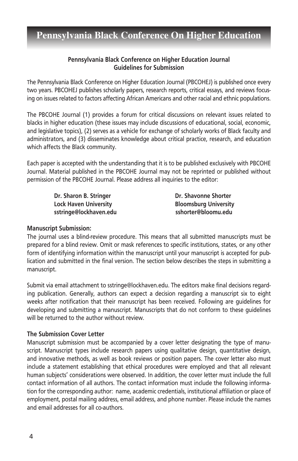### **Pennsylvania Black Conference on Higher Education Journal Guidelines for Submission**

The Pennsylvania Black Conference on Higher Education Journal (PBCOHEJ) is published once every two years. PBCOHEJ publishes scholarly papers, research reports, critical essays, and reviews focusing on issues related to factors affecting African Americans and other racial and ethnic populations.

The PBCOHE Journal (1) provides a forum for critical discussions on relevant issues related to blacks in higher education (these issues may include discussions of educational, social, economic, and legislative topics), (2) serves as a vehicle for exchange of scholarly works of Black faculty and administrators, and (3) disseminates knowledge about critical practice, research, and education which affects the Black community.

Each paper is accepted with the understanding that it is to be published exclusively with PBCOHE Journal. Material published in the PBCOHE Journal may not be reprinted or published without permission of the PBCOHE Journal. Please address all inquiries to the editor:

> **Dr. Sharon B. Stringer Community Community Dr. Shavonne Shorter Lock Haven University Bloomsburg University sstringe@lockhaven.edu sshorter@bloomu.edu**

#### **Manuscript Submission:**

The journal uses a blind-review procedure. This means that all submitted manuscripts must be prepared for a blind review. Omit or mask references to specific institutions, states, or any other form of identifying information within the manuscript until your manuscript is accepted for publication and submitted in the final version. The section below describes the steps in submitting a manuscript.

Submit via email attachment to sstringe@lockhaven.edu. The editors make final decisions regarding publication. Generally, authors can expect a decision regarding a manuscript six to eight weeks after notification that their manuscript has been received. Following are guidelines for developing and submitting a manuscript. Manuscripts that do not conform to these guidelines will be returned to the author without review.

#### **The Submission Cover Letter**

Manuscript submission must be accompanied by a cover letter designating the type of manuscript. Manuscript types include research papers using qualitative design, quantitative design, and innovative methods, as well as book reviews or position papers. The cover letter also must include a statement establishing that ethical procedures were employed and that all relevant human subjects' considerations were observed. In addition, the cover letter must include the full contact information of all authors. The contact information must include the following information for the corresponding author: name, academic credentials, institutional affiliation or place of employment, postal mailing address, email address, and phone number. Please include the names and email addresses for all co-authors.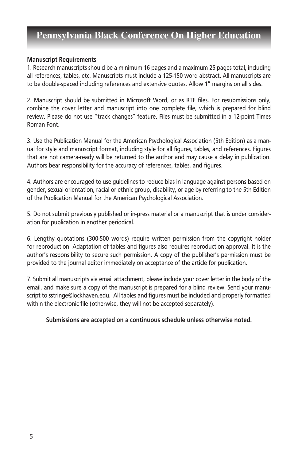#### **Manuscript Requirements**

1. Research manuscripts should be a minimum 16 pages and a maximum 25 pages total, including all references, tables, etc. Manuscripts must include a 125-150 word abstract. All manuscripts are to be double-spaced including references and extensive quotes. Allow 1" margins on all sides.

2. Manuscript should be submitted in Microsoft Word, or as RTF files. For resubmissions only, combine the cover letter and manuscript into one complete file, which is prepared for blind review. Please do not use ''track changes" feature. Files must be submitted in a 12-point Times Roman Font.

3. Use the Publication Manual for the American Psychological Association (5th Edition) as a manual for style and manuscript format, including style for all figures, tables, and references. Figures that are not camera-ready will be returned to the author and may cause a delay in publication. Authors bear responsibility for the accuracy of references, tables, and figures.

4. Authors are encouraged to use guidelines to reduce bias in language against persons based on gender, sexual orientation, racial or ethnic group, disability, or age by referring to the 5th Edition of the Publication Manual for the American Psychological Association.

5. Do not submit previously published or in-press material or a manuscript that is under consideration for publication in another periodical.

6. Lengthy quotations (300-500 words) require written permission from the copyright holder for reproduction. Adaptation of tables and figures also requires reproduction approval. It is the author's responsibility to secure such permission. A copy of the publisher's permission must be provided to the journal editor immediately on acceptance of the article for publication.

7. Submit all manuscripts via email attachment, please include your cover letter in the body of the email, and make sure a copy of the manuscript is prepared for a blind review. Send your manuscript to sstringe@lockhaven.edu. All tables and figures must be included and properly formatted within the electronic file (otherwise, they will not be accepted separately).

#### **Submissions are accepted on a continuous schedule unless otherwise noted.**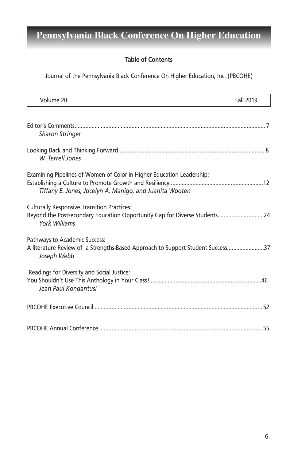### **Table of Contents**

Journal of the Pennsylvania Black Conference On Higher Education, Inc. (PBCOHE)

| Volume 20                                                                                                                                        | Fall 2019 |
|--------------------------------------------------------------------------------------------------------------------------------------------------|-----------|
|                                                                                                                                                  |           |
| <b>Sharon Stringer</b>                                                                                                                           |           |
| W. Terrell Jones                                                                                                                                 |           |
| Examining Pipelines of Women of Color in Higher Education Leadership:<br>Tiffany E. Jones, Jocelyn A. Manigo, and Juanita Wooten                 |           |
| <b>Culturally Responsive Transition Practices:</b><br>Beyond the Postsecondary Education Opportunity Gap for Diverse Students24<br>York Williams |           |
| Pathways to Academic Success:<br>A literature Review of a Strengths-Based Approach to Support Student Success37<br>Joseph Webb                   |           |
| Readings for Diversity and Social Justice:<br>Jean Paul Kondantusi                                                                               |           |
|                                                                                                                                                  |           |
|                                                                                                                                                  |           |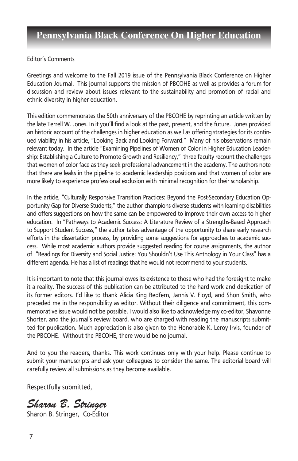Editor's Comments

Greetings and welcome to the Fall 2019 issue of the Pennsylvania Black Conference on Higher Education Journal. This journal supports the mission of PBCOHE as well as provides a forum for discussion and review about issues relevant to the sustainability and promotion of racial and ethnic diversity in higher education.

This edition commemorates the 50th anniversary of the PBCOHE by reprinting an article written by the late Terrell W. Jones. In it you'll find a look at the past, present, and the future. Jones provided an historic account of the challenges in higher education as well as offering strategies for its continued viability in his article, "Looking Back and Looking Forward." Many of his observations remain relevant today. In the article "Examining Pipelines of Women of Color in Higher Education Leadership: Establishing a Culture to Promote Growth and Resiliency," three faculty recount the challenges that women of color face as they seek professional advancement in the academy. The authors note that there are leaks in the pipeline to academic leadership positions and that women of color are more likely to experience professional exclusion with minimal recognition for their scholarship.

In the article, "Culturally Responsive Transition Practices: Beyond the Post-Secondary Education Opportunity Gap for Diverse Students," the author champions diverse students with learning disabilities and offers suggestions on how the same can be empowered to improve their own access to higher education. In "Pathways to Academic Success: A Literature Review of a Strengths-Based Approach to Support Student Success," the author takes advantage of the opportunity to share early research efforts in the dissertation process, by providing some suggestions for approaches to academic success. While most academic authors provide suggested reading for course assignments, the author of "Readings for Diversity and Social Justice: You Shouldn't Use This Anthology in Your Class" has a different agenda. He has a list of readings that he would not recommend to your students.

It is important to note that this journal owes its existence to those who had the foresight to make it a reality. The success of this publication can be attributed to the hard work and dedication of its former editors. I'd like to thank Alicia King Redfern, Jannis V. Floyd, and Shon Smith, who preceded me in the responsibility as editor. Without their diligence and commitment, this commemorative issue would not be possible. I would also like to acknowledge my co-editor, Shavonne Shorter, and the journal's review board, who are charged with reading the manuscripts submitted for publication. Much appreciation is also given to the Honorable K. Leroy Irvis, founder of the PBCOHE. Without the PBCOHE, there would be no journal.

And to you the readers, thanks. This work continues only with your help. Please continue to submit your manuscripts and ask your colleagues to consider the same. The editorial board will carefully review all submissions as they become available.

Respectfully submitted,

*Sharon B. Stringer*

Sharon B. Stringer, Co-Editor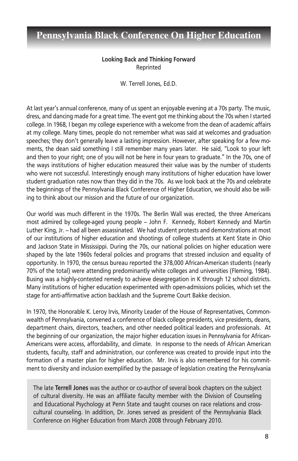### **Looking Back and Thinking Forward** Reprinted

W. Terrell Jones, Ed.D.

At last year's annual conference, many of us spent an enjoyable evening at a 70s party. The music, dress, and dancing made for a great time. The event got me thinking about the 70s when I started college. In 1968, I began my college experience with a welcome from the dean of academic affairs at my college. Many times, people do not remember what was said at welcomes and graduation speeches; they don't generally leave a lasting impression. However, after speaking for a few moments, the dean said something I still remember many years later. He said, "Look to your left and then to your right; one of you will not be here in four years to graduate." In the 70s, one of the ways institutions of higher education measured their value was by the number of students who were not successful. Interestingly enough many institutions of higher education have lower student graduation rates now than they did in the 70s. As we look back at the 70s and celebrate the beginnings of the Pennsylvania Black Conference of Higher Education, we should also be willing to think about our mission and the future of our organization.

Our world was much different in the 1970s. The Berlin Wall was erected, the three Americans most admired by college-aged young people - John F. Kennedy, Robert Kennedy and Martin Luther King, Jr. - had all been assassinated. We had student protests and demonstrations at most of our institutions of higher education and shootings of college students at Kent State in Ohio and Jackson State in Mississippi. During the 70s, our national policies on higher education were shaped by the late 1960s federal policies and programs that stressed inclusion and equality of opportunity. In 1970, the census bureau reported the 378,000 African-American students (nearly 70% of the total) were attending predominantly white colleges and universities (Fleming, 1984). Busing was a highly-contested remedy to achieve desegregation in K through 12 school districts. Many institutions of higher education experimented with open-admissions policies, which set the stage for anti-affirmative action backlash and the Supreme Court Bakke decision.

In 1970, the Honorable K. Leroy Irvis, Minority Leader of the House of Representatives, Commonwealth of Pennsylvania, convened a conference of black college presidents, vice presidents, deans, department chairs, directors, teachers, and other needed political leaders and professionals. At the beginning of our organization, the major higher education issues in Pennsylvania for African-Americans were access, affordability, and climate. In response to the needs of African American students, faculty, staff and administration, our conference was created to provide input into the formation of a master plan for higher education. Mr. Irvis is also remembered for his commitment to diversity and inclusion exemplified by the passage of legislation creating the Pennsylvania

The late **Terrell Jones** was the author or co-author of several book chapters on the subject of cultural diversity. He was an affiliate faculty member with the Division of Counseling and Educational Psychology at Penn State and taught courses on race relations and crosscultural counseling. In addition, Dr. Jones served as president of the Pennsylvania Black Conference on Higher Education from March 2008 through February 2010.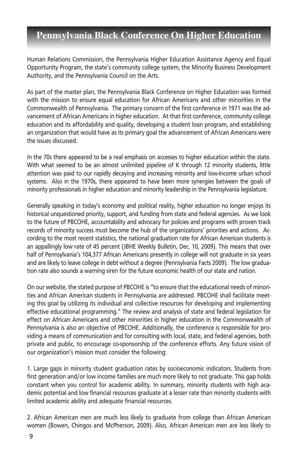Human Relations Commission, the Pennsylvania Higher Education Assistance Agency and Equal Opportunity Program, the state's community college system, the Minority Business Development Authority, and the Pennsylvania Council on the Arts.

As part of the master plan, the Pennsylvania Black Conference on Higher Education was formed with the mission to ensure equal education for African Americans and other minorities in the Commonwealth of Pennsylvania. The primary concern of the first conference in 1971 was the advancement of African Americans in higher education. At that first conference, community college education and its affordability and quality, developing a student loan program, and establishing an organization that would have as its primary goal the advancement of African Americans were the issues discussed.

In the 70s there appeared to be a real emphasis on accesses to higher education within the state. With what seemed to be an almost unlimited pipeline of K through 12 minority students, little attention was paid to our rapidly decaying and increasing minority and low-income urban school systems. Also in the 1970s, there appeared to have been more synergies between the goals of minority professionals in higher education and minority leadership in the Pennsylvania legislature.

Generally speaking in today's economy and political reality, higher education no longer enjoys its historical unquestioned priority, support, and funding from state and federal agencies. As we look to the future of PBCOHE, accountability and advocacy for policies and programs with proven track records of minority success must become the hub of the organizations' priorities and actions. According to the most recent statistics, the national graduation rate for African American students is an appallingly low rate of 45 percent (JBHE Weekly Bulletin, Dec. 10, 2009). This means that over half of Pennsylvania's 104,377 African Americans presently in college will not graduate in six years and are likely to leave college in debt without a degree (Pennsylvania Facts 2009). The low graduation rate also sounds a warning siren for the future economic health of our state and nation.

On our website, the stated purpose of PBCOHE is "to ensure that the educational needs of minorities and African American students in Pennsylvania are addressed. PBCOHE shall facilitate meeting this goal by utilizing its individual and collective resources for developing and implementing effective educational programming." The review and analysis of state and federal legislation for effect on African Americans and other minorities in higher education in the Commonwealth of Pennsylvania is also an objective of PBCOHE. Additionally, the conference is responsible for providing a means of communication and for consulting with local, state, and federal agencies, both private and public, to encourage co-sponsorship of the conference efforts. Any future vision of our organization's mission must consider the following:

1. Large gaps in minority student graduation rates by socioeconomic indicators. Students from first generation and/or low income families are much more likely to not graduate. This gap holds constant when you control for academic ability. In summary, minority students with high academic potential and low financial resources graduate at a lesser rate than minority students with limited academic ability and adequate financial resources.

2. African American men are much less likely to graduate from college than African American women (Bowen, Chingos and McPherson, 2009). Also, African American men are less likely to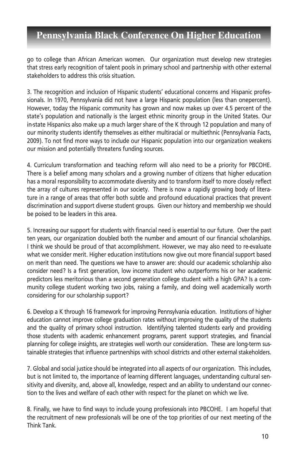go to college than African American women. Our organization must develop new strategies that stress early recognition of talent pools in primary school and partnership with other external stakeholders to address this crisis situation.

3. The recognition and inclusion of Hispanic students' educational concerns and Hispanic professionals. In 1970, Pennsylvania did not have a large Hispanic population (less than onepercent). However, today the Hispanic community has grown and now makes up over 4.5 percent of the state's population and nationally is the largest ethnic minority group in the United States. Our in-state Hispanics also make up a much larger share of the K through 12 population and many of our minority students identify themselves as either multiracial or multiethnic (Pennsylvania Facts, 2009). To not find more ways to include our Hispanic population into our organization weakens our mission and potentially threatens funding sources.

4. Curriculum transformation and teaching reform will also need to be a priority for PBCOHE. There is a belief among many scholars and a growing number of citizens that higher education has a moral responsibility to accommodate diversity and to transform itself to more closely reflect the array of cultures represented in our society. There is now a rapidly growing body of literature in a range of areas that offer both subtle and profound educational practices that prevent discrimination and support diverse student groups. Given our history and membership we should be poised to be leaders in this area.

5. Increasing our support for students with financial need is essential to our future. Over the past ten years, our organization doubled both the number and amount of our financial scholarships. I think we should be proud of that accomplishment. However, we may also need to re-evaluate what we consider merit. Higher education institutions now give out more financial support based on merit than need. The questions we have to answer are: should our academic scholarship also consider need? Is a first generation, low income student who outperforms his or her academic predictors less meritorious than a second generation college student with a high GPA? Is a community college student working two jobs, raising a family, and doing well academically worth considering for our scholarship support?

6. Develop a K through 16 framework for improving Pennsylvania education. Institutions of higher education cannot improve college graduation rates without improving the quality of the students and the quality of primary school instruction. Identifying talented students early and providing those students with academic enhancement programs, parent support strategies, and financial planning for college insights, are strategies well worth our consideration. These are long-term sustainable strategies that influence partnerships with school districts and other external stakeholders.

7. Global and social justice should be integrated into all aspects of our organization. This includes, but is not limited to, the importance of learning different languages, understanding cultural sensitivity and diversity, and, above all, knowledge, respect and an ability to understand our connection to the lives and welfare of each other with respect for the planet on which we live.

8. Finally, we have to find ways to include young professionals into PBCOHE. I am hopeful that the recruitment of new professionals will be one of the top priorities of our next meeting of the Think Tank.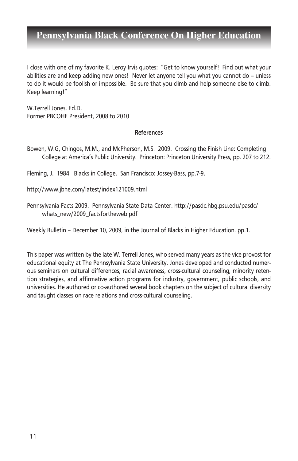I close with one of my favorite K. Leroy Irvis quotes: "Get to know yourself! Find out what your abilities are and keep adding new ones! Never let anyone tell you what you cannot do – unless to do it would be foolish or impossible. Be sure that you climb and help someone else to climb. Keep learning!"

W.Terrell Jones, Ed.D. Former PBCOHE President, 2008 to 2010

#### **References**

Bowen, W.G, Chingos, M.M., and McPherson, M.S. 2009. Crossing the Finish Line: Completing College at America's Public University. Princeton: Princeton University Press, pp. 207 to 212.

Fleming, J. 1984. Blacks in College. San Francisco: Jossey-Bass, pp.7-9.

http://www.jbhe.com/latest/index121009.html

Pennsylvania Facts 2009. Pennsylvania State Data Center. http://pasdc.hbg.psu.edu/pasdc/ whats\_new/2009\_factsfortheweb.pdf

Weekly Bulletin – December 10, 2009, in the Journal of Blacks in Higher Education. pp.1.

This paper was written by the late W. Terrell Jones, who served many years as the vice provost for educational equity at The Pennsylvania State University. Jones developed and conducted numerous seminars on cultural differences, racial awareness, cross-cultural counseling, minority retention strategies, and affirmative action programs for industry, government, public schools, and universities. He authored or co-authored several book chapters on the subject of cultural diversity and taught classes on race relations and cross-cultural counseling.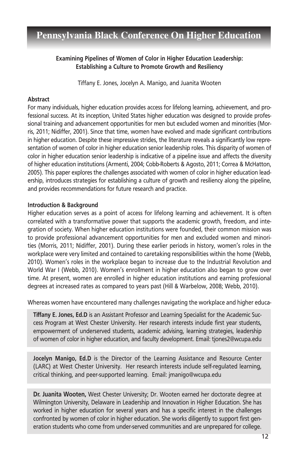### **Examining Pipelines of Women of Color in Higher Education Leadership: Establishing a Culture to Promote Growth and Resiliency**

Tiffany E. Jones, Jocelyn A. Manigo, and Juanita Wooten

### **Abstract**

For many individuals, higher education provides access for lifelong learning, achievement, and professional success. At its inception, United States higher education was designed to provide professional training and advancement opportunities for men but excluded women and minorities (Morris, 2011; Nidiffer, 2001). Since that time, women have evolved and made significant contributions in higher education. Despite these impressive strides, the literature reveals a significantly low representation of women of color in higher education senior leadership roles. This disparity of women of color in higher education senior leadership is indicative of a pipeline issue and affects the diversity of higher education institutions (Armenti, 2004; Cobb-Roberts & Agosto, 2011; Correa & McHatton, 2005). This paper explores the challenges associated with women of color in higher education leadership, introduces strategies for establishing a culture of growth and resiliency along the pipeline, and provides recommendations for future research and practice.

### **Introduction & Background**

Higher education serves as a point of access for lifelong learning and achievement. It is often correlated with a transformative power that supports the academic growth, freedom, and integration of society. When higher education institutions were founded, their common mission was to provide professional advancement opportunities for men and excluded women and minorities (Morris, 2011; Nidiffer, 2001). During these earlier periods in history, women's roles in the workplace were very limited and contained to caretaking responsibilities within the home (Webb, 2010). Women's roles in the workplace began to increase due to the Industrial Revolution and World War I (Webb, 2010). Women's enrollment in higher education also began to grow over time. At present, women are enrolled in higher education institutions and earning professional degrees at increased rates as compared to years past (Hill & Warbelow, 2008; Webb, 2010).

Whereas women have encountered many challenges navigating the workplace and higher educa-

**Tiffany E. Jones, Ed.D** is an Assistant Professor and Learning Specialist for the Academic Success Program at West Chester University. Her research interests include first year students, empowerment of underserved students, academic advising, learning strategies, leadership of women of color in higher education, and faculty development. Email: tjones2@wcupa.edu

**Jocelyn Manigo, Ed.D** is the Director of the Learning Assistance and Resource Center (LARC) at West Chester University. Her research interests include self-regulated learning, critical thinking, and peer-supported learning. Email: jmanigo@wcupa.edu

**Dr. Juanita Wooten,** West Chester University; Dr. Wooten earned her doctorate degree at Wilmington University, Delaware in Leadership and Innovation in Higher Education. She has worked in higher education for several years and has a specific interest in the challenges confronted by women of color in higher education. She works diligently to support first generation students who come from under-served communities and are unprepared for college.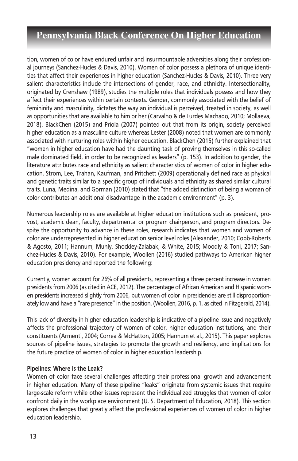tion, women of color have endured unfair and insurmountable adversities along their professional journeys (Sanchez-Hucles & Davis, 2010). Women of color possess a plethora of unique identities that affect their experiences in higher education (Sanchez-Hucles & Davis, 2010). Three very salient characteristics include the intersections of gender, race, and ethnicity. Intersectionality, originated by Crenshaw (1989), studies the multiple roles that individuals possess and how they affect their experiences within certain contexts. Gender, commonly associated with the belief of femininity and masculinity, dictates the way an individual is perceived, treated in society, as well as opportunities that are available to him or her (Carvalho & de Lurdes Machado, 2010; Mollaeva, 2018). BlackChen (2015) and Priola (2007) pointed out that from its origin, society perceived higher education as a masculine culture whereas Lester (2008) noted that women are commonly associated with nurturing roles within higher education. BlackChen (2015) further explained that "women in higher education have had the daunting task of proving themselves in this so-called male dominated field, in order to be recognized as leaders" (p. 153). In addition to gender, the literature attributes race and ethnicity as salient characteristics of women of color in higher education. Strom, Lee, Trahan, Kaufman, and Pritchett (2009) operationally defined race as physical and genetic traits similar to a specific group of individuals and ethnicity as shared similar cultural traits. Luna, Medina, and Gorman (2010) stated that "the added distinction of being a woman of color contributes an additional disadvantage in the academic environment" (p. 3).

Numerous leadership roles are available at higher education institutions such as president, provost, academic dean, faculty, departmental or program chairperson, and program directors. Despite the opportunity to advance in these roles, research indicates that women and women of color are underrepresented in higher education senior level roles (Alexander, 2010; Cobb-Roberts & Agosto, 2011; Hannum, Muhly, Shockley-Zalabak, & White, 2015; Moodly & Toni, 2017; Sanchez-Hucles & Davis, 2010). For example, Woollen (2016) studied pathways to American higher education presidency and reported the following:

Currently, women account for 26% of all presidents, representing a three percent increase in women presidents from 2006 (as cited in ACE, 2012). The percentage of African American and Hispanic women presidents increased slightly from 2006, but women of color in presidencies are still disproportionately low and have a "rare presence" in the position. (Woollen, 2016, p. 1, as cited in Fitzgerald, 2014).

This lack of diversity in higher education leadership is indicative of a pipeline issue and negatively affects the professional trajectory of women of color, higher education institutions, and their constituents (Armenti, 2004; Correa & McHatton, 2005; Hannum et al., 2015). This paper explores sources of pipeline issues, strategies to promote the growth and resiliency, and implications for the future practice of women of color in higher education leadership.

### **Pipelines: Where is the Leak?**

Women of color face several challenges affecting their professional growth and advancement in higher education. Many of these pipeline "leaks" originate from systemic issues that require large-scale reform while other issues represent the individualized struggles that women of color confront daily in the workplace environment (U. S. Department of Education, 2018). This section explores challenges that greatly affect the professional experiences of women of color in higher education leadership.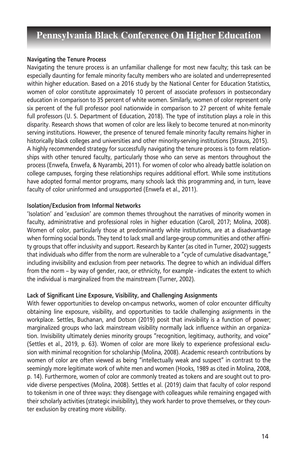#### **Navigating the Tenure Process**

Navigating the tenure process is an unfamiliar challenge for most new faculty; this task can be especially daunting for female minority faculty members who are isolated and underrepresented within higher education. Based on a 2016 study by the National Center for Education Statistics, women of color constitute approximately 10 percent of associate professors in postsecondary education in comparison to 35 percent of white women. Similarly, women of color represent only six percent of the full professor pool nationwide in comparison to 27 percent of white female full professors (U. S. Department of Education, 2018). The type of institution plays a role in this disparity. Research shows that women of color are less likely to become tenured at non-minority serving institutions. However, the presence of tenured female minority faculty remains higher in historically black colleges and universities and other minority-serving institutions (Strauss, 2015). A highly recommended strategy for successfully navigating the tenure process is to form relationships with other tenured faculty, particularly those who can serve as mentors throughout the process (Enwefa, Enwefa, & Nyarambi, 2011). For women of color who already battle isolation on college campuses, forging these relationships requires additional effort. While some institutions have adopted formal mentor programs, many schools lack this programming and, in turn, leave faculty of color uninformed and unsupported (Enwefa et al., 2011).

#### **Isolation/Exclusion from Informal Networks**

'Isolation' and 'exclusion' are common themes throughout the narratives of minority women in faculty, administrative and professional roles in higher education (Caroll, 2017; Molina, 2008). Women of color, particularly those at predominantly white institutions, are at a disadvantage when forming social bonds. They tend to lack small and large-group communities and other affinity groups that offer inclusivity and support. Research by Kanter (as cited in Turner, 2002) suggests that individuals who differ from the norm are vulnerable to a "cycle of cumulative disadvantage," including invisibility and exclusion from peer networks. The degree to which an individual differs from the norm – by way of gender, race, or ethnicity, for example - indicates the extent to which the individual is marginalized from the mainstream (Turner, 2002).

#### **Lack of Significant Line Exposure, Visibility, and Challenging Assignments**

With fewer opportunities to develop on-campus networks, women of color encounter difficulty obtaining line exposure, visibility, and opportunities to tackle challenging assignments in the workplace. Settles, Buchanan, and Dotson (2019) posit that invisibility is a function of power; marginalized groups who lack mainstream visibility normally lack influence within an organization. Invisibility ultimately denies minority groups "recognition, legitimacy, authority, and voice" (Settles et al., 2019, p. 63). Women of color are more likely to experience professional exclusion with minimal recognition for scholarship (Molina, 2008). Academic research contributions by women of color are often viewed as being "intellectually weak and suspect" in contrast to the seemingly more legitimate work of white men and women (Hooks, 1989 as cited in Molina, 2008, p. 14). Furthermore, women of color are commonly treated as tokens and are sought out to provide diverse perspectives (Molina, 2008). Settles et al. (2019) claim that faculty of color respond to tokenism in one of three ways: they disengage with colleagues while remaining engaged with their scholarly activities (strategic invisibility), they work harder to prove themselves, or they counter exclusion by creating more visibility.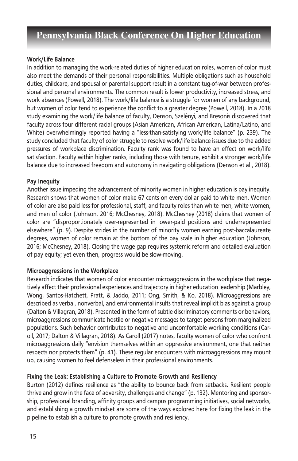#### **Work/Life Balance**

In addition to managing the work-related duties of higher education roles, women of color must also meet the demands of their personal responsibilities. Multiple obligations such as household duties, childcare, and spousal or parental support result in a constant tug-of-war between professional and personal environments. The common result is lower productivity, increased stress, and work absences (Powell, 2018). The work/life balance is a struggle for women of any background, but women of color tend to experience the conflict to a greater degree (Powell, 2018). In a 2018 study examining the work/life balance of faculty, Denson, Szelényi, and Bresonis discovered that faculty across four different racial groups (Asian American, African American, Latina/Latino, and White) overwhelmingly reported having a "less-than-satisfying work/life balance" (p. 239). The study concluded that faculty of color struggle to resolve work/life balance issues due to the added pressures of workplace discrimination. Faculty rank was found to have an effect on work/life satisfaction. Faculty within higher ranks, including those with tenure, exhibit a stronger work/life balance due to increased freedom and autonomy in navigating obligations (Denson et al., 2018).

### **Pay Inequity**

Another issue impeding the advancement of minority women in higher education is pay inequity. Research shows that women of color make 67 cents on every dollar paid to white men. Women of color are also paid less for professional, staff, and faculty roles than white men, white women, and men of color (Johnson, 2016; McChesney, 2018). McChesney (2018) claims that women of color are "disproportionately over-represented in lower-paid positions and underrepresented elsewhere" (p. 9). Despite strides in the number of minority women earning post-baccalaureate degrees, women of color remain at the bottom of the pay scale in higher education (Johnson, 2016; McChesney, 2018). Closing the wage gap requires systemic reform and detailed evaluation of pay equity; yet even then, progress would be slow-moving.

### **Microaggressions in the Workplace**

Research indicates that women of color encounter microaggressions in the workplace that negatively affect their professional experiences and trajectory in higher education leadership (Marbley, Wong, Santos-Hatchett, Pratt, & Jaddo, 2011; Ong, Smith, & Ko, 2018). Microaggressions are described as verbal, nonverbal, and environmental insults that reveal implicit bias against a group (Dalton & Villagran, 2018). Presented in the form of subtle discriminatory comments or behaviors, microaggressions communicate hostile or negative messages to target persons from marginalized populations. Such behavior contributes to negative and uncomfortable working conditions (Caroll, 2017; Dalton & Villagran, 2018). As Caroll (2017) notes, faculty women of color who confront microaggressions daily "envision themselves within an oppressive environment, one that neither respects nor protects them" (p. 41). These regular encounters with microaggressions may mount up, causing women to feel defenseless in their professional environments.

### **Fixing the Leak: Establishing a Culture to Promote Growth and Resiliency**

Burton (2012) defines resilience as "the ability to bounce back from setbacks. Resilient people thrive and grow in the face of adversity, challenges and change" (p. 132). Mentoring and sponsorship, professional branding, affinity groups and campus programming initiatives, social networks, and establishing a growth mindset are some of the ways explored here for fixing the leak in the pipeline to establish a culture to promote growth and resiliency.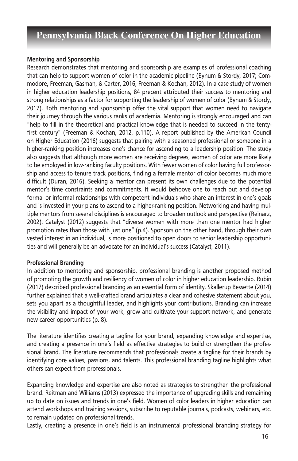#### **Mentoring and Sponsorship**

Research demonstrates that mentoring and sponsorship are examples of professional coaching that can help to support women of color in the academic pipeline (Bynum & Stordy, 2017; Commodore, Freeman, Gasman, & Carter, 2016; Freeman & Kochan, 2012). In a case study of women in higher education leadership positions, 84 precent attributed their success to mentoring and strong relationships as a factor for supporting the leadership of women of color (Bynum & Stordy, 2017). Both mentoring and sponsorship offer the vital support that women need to navigate their journey through the various ranks of academia. Mentoring is strongly encouraged and can "help to fill in the theoretical and practical knowledge that is needed to succeed in the tentyfirst century" (Freeman & Kochan, 2012, p.110). A report published by the American Council on Higher Education (2016) suggests that pairing with a seasoned professional or someone in a higher-ranking position increases one's chance for ascending to a leadership position. The study also suggests that although more women are receiving degrees, women of color are more likely to be employed in low-ranking faculty positions. With fewer women of color having full professorship and access to tenure track positions, finding a female mentor of color becomes much more difficult (Duran, 2016). Seeking a mentor can present its own challenges due to the potential mentor's time constraints and commitments. It would behoove one to reach out and develop formal or informal relationships with competent individuals who share an interest in one's goals and is invested in your plans to ascend to a higher-ranking position. Networking and having multiple mentors from several disciplines is encouraged to broaden outlook and perspective (Reinarz, 2002). Catalyst (2012) suggests that "diverse women with more than one mentor had higher promotion rates than those with just one" (p.4). Sponsors on the other hand, through their own vested interest in an individual, is more positioned to open doors to senior leadership opportunities and will generally be an advocate for an individual's success (Catalyst, 2011).

### **Professional Branding**

In addition to mentoring and sponsorship, professional branding is another proposed method of promoting the growth and resiliency of women of color in higher education leadership. Rubin (2017) described professional branding as an essential form of identity. Skallerup Bessette (2014) further explained that a well-crafted brand articulates a clear and cohesive statement about you, sets you apart as a thoughtful leader, and highlights your contributions. Branding can increase the visibility and impact of your work, grow and cultivate your support network, and generate new career opportunities (p. 8).

The literature identifies creating a tagline for your brand, expanding knowledge and expertise, and creating a presence in one's field as effective strategies to build or strengthen the professional brand. The literature recommends that professionals create a tagline for their brands by identifying core values, passions, and talents. This professional branding tagline highlights what others can expect from professionals.

Expanding knowledge and expertise are also noted as strategies to strengthen the professional brand. Reitman and Williams (2013) expressed the importance of upgrading skills and remaining up to date on issues and trends in one's field. Women of color leaders in higher education can attend workshops and training sessions, subscribe to reputable journals, podcasts, webinars, etc. to remain updated on professional trends.

Lastly, creating a presence in one's field is an instrumental professional branding strategy for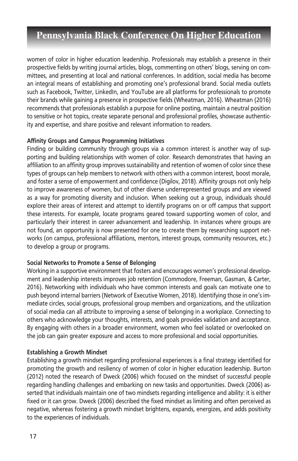women of color in higher education leadership. Professionals may establish a presence in their prospective fields by writing journal articles, blogs, commenting on others' blogs, serving on committees, and presenting at local and national conferences. In addition, social media has become an integral means of establishing and promoting one's professional brand. Social media outlets such as Facebook, Twitter, LinkedIn, and YouTube are all platforms for professionals to promote their brands while gaining a presence in prospective fields (Wheatman, 2016). Wheatman (2016) recommends that professionals establish a purpose for online posting, maintain a neutral position to sensitive or hot topics, create separate personal and professional profiles, showcase authenticity and expertise, and share positive and relevant information to readers.

### **Affinity Groups and Campus Programming Initiatives**

Finding or building community through groups via a common interest is another way of supporting and building relationships with women of color. Research demonstrates that having an affiliation to an affinity group improves sustainability and retention of women of color since these types of groups can help members to network with others with a common interest, boost morale, and foster a sense of empowerment and confidence (Digilov, 2018). Affinity groups not only help to improve awareness of women, but of other diverse underrepresented groups and are viewed as a way for promoting diversity and inclusion. When seeking out a group, individuals should explore their areas of interest and attempt to identify programs on or off campus that support these interests. For example, locate programs geared toward supporting women of color, and particularly their interest in career advancement and leadership. In instances where groups are not found, an opportunity is now presented for one to create them by researching support networks (on campus, professional affiliations, mentors, interest groups, community resources, etc.) to develop a group or programs.

### **Social Networks to Promote a Sense of Belonging**

Working in a supportive environment that fosters and encourages women's professional development and leadership interests improves job retention (Commodore, Freeman, Gasman, & Carter, 2016). Networking with individuals who have common interests and goals can motivate one to push beyond internal barriers (Network of Executive Women, 2018). Identifying those in one's immediate circles, social groups, professional group members and organizations, and the utilization of social media can all attribute to improving a sense of belonging in a workplace. Connecting to others who acknowledge your thoughts, interests, and goals provides validation and acceptance. By engaging with others in a broader environment, women who feel isolated or overlooked on the job can gain greater exposure and access to more professional and social opportunities.

### **Establishing a Growth Mindset**

Establishing a growth mindset regarding professional experiences is a final strategy identified for promoting the growth and resiliency of women of color in higher education leadership. Burton (2012) noted the research of Dweck (2006) which focused on the mindset of successful people regarding handling challenges and embarking on new tasks and opportunities. Dweck (2006) asserted that individuals maintain one of two mindsets regarding intelligence and ability: it is either fixed or it can grow. Dweck (2006) described the fixed mindset as limiting and often perceived as negative, whereas fostering a growth mindset brightens, expands, energizes, and adds positivity to the experiences of individuals.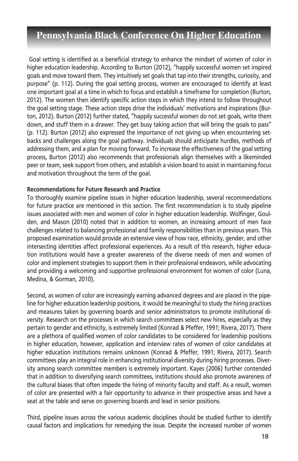Goal setting is identified as a beneficial strategy to enhance the mindset of women of color in higher education leadership. According to Burton (2012), "happily successful women set inspired goals and move toward them. They intuitively set goals that tap into their strengths, curiosity, and purpose" (p. 112). During the goal setting process, women are encouraged to identify at least one important goal at a time in which to focus and establish a timeframe for completion (Burton, 2012). The women then identify specific action steps in which they intend to follow throughout the goal setting stage. These action steps drive the individuals' motivations and inspirations (Burton, 2012). Burton (2012) further stated, "happily successful women do not set goals, write them down, and stuff them in a drawer. They get busy taking action that will bring the goals to pass" (p. 112). Burton (2012) also expressed the importance of not giving up when encountering setbacks and challenges along the goal pathway. Individuals should anticipate hurdles, methods of addressing them, and a plan for moving forward. To increase the effectiveness of the goal setting process, Burton (2012) also recommends that professionals align themselves with a likeminded peer or team, seek support from others, and establish a vision board to assist in maintaining focus and motivation throughout the term of the goal.

#### **Recommendations for Future Research and Practice**

To thoroughly examine pipeline issues in higher education leadership, several recommendations for future practice are mentioned in this section. The first recommendation is to study pipeline issues associated with men and women of color in higher education leadership. Wolfinger, Goulden, and Mason (2010) noted that in addition to women, an increasing amount of men face challenges related to balancing professional and family responsibilities than in previous years. This proposed examination would provide an extensive view of how race, ethnicity, gender, and other intersecting identities affect professional experiences. As a result of this research, higher education institutions would have a greater awareness of the diverse needs of men and women of color and implement strategies to support them in their professional endeavors, while advocating and providing a welcoming and supportive professional environment for women of color (Luna, Medina, & Gorman, 2010).

Second, as women of color are increasingly earning advanced degrees and are placed in the pipeline for higher education leadership positions, it would be meaningful to study the hiring practices and measures taken by governing boards and senior administrators to promote institutional diversity. Research on the processes in which search committees select new hires, especially as they pertain to gender and ethnicity, is extremely limited (Konrad & Pfeffer, 1991; Rivera, 2017). There are a plethora of qualified women of color candidates to be considered for leadership positions in higher education, however, application and interview rates of women of color candidates at higher education institutions remains unknown (Konrad & Pfeffer, 1991; Rivera, 2017). Search committees play an integral role in enhancing institutional diversity during hiring processes. Diversity among search committee members is extremely important. Kayes (2006) further contended that in addition to diversifying search committees, institutions should also promote awareness of the cultural biases that often impede the hiring of minority faculty and staff. As a result, women of color are presented with a fair opportunity to advance in their prospective areas and have a seat at the table and serve on governing boards and lead in senior positions.

Third, pipeline issues across the various academic disciplines should be studied further to identify causal factors and implications for remedying the issue. Despite the increased number of women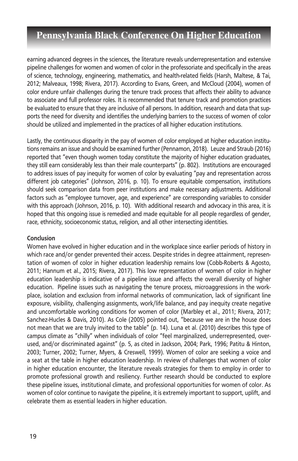earning advanced degrees in the sciences, the literature reveals underrepresentation and extensive pipeline challenges for women and women of color in the professoriate and specifically in the areas of science, technology, engineering, mathematics, and health-related fields (Harsh, Maltese, & Tai, 2012; Malveaux, 1998; Rivera, 2017). According to Evans, Green, and McCloud (2004), women of color endure unfair challenges during the tenure track process that affects their ability to advance to associate and full professor roles. It is recommended that tenure track and promotion practices be evaluated to ensure that they are inclusive of all persons. In addition, research and data that supports the need for diversity and identifies the underlying barriers to the success of women of color should be utilized and implemented in the practices of all higher education institutions.

Lastly, the continuous disparity in the pay of women of color employed at higher education institutions remains an issue and should be examined further (Pennamon, 2018). Leuze and Straub (2016) reported that "even though women today constitute the majority of higher education graduates, they still earn considerably less than their male counterparts" (p. 802). Institutions are encouraged to address issues of pay inequity for women of color by evaluating "pay and representation across different job categories" (Johnson, 2016, p. 10). To ensure equitable compensation, institutions should seek comparison data from peer institutions and make necessary adjustments. Additional factors such as "employee turnover, age, and experience" are corresponding variables to consider with this approach (Johnson, 2016, p. 10). With additional research and advocacy in this area, it is hoped that this ongoing issue is remedied and made equitable for all people regardless of gender, race, ethnicity, socioeconomic status, religion, and all other intersecting identities.

#### **Conclusion**

Women have evolved in higher education and in the workplace since earlier periods of history in which race and/or gender prevented their access. Despite strides in degree attainment, representation of women of color in higher education leadership remains low (Cobb-Roberts & Agosto, 2011; Hannum et al., 2015; Rivera, 2017). This low representation of women of color in higher education leadership is indicative of a pipeline issue and affects the overall diversity of higher education. Pipeline issues such as navigating the tenure process, microaggressions in the workplace, isolation and exclusion from informal networks of communication, lack of significant line exposure, visibility, challenging assignments, work/life balance, and pay inequity create negative and uncomfortable working conditions for women of color (Marbley et al., 2011; Rivera, 2017; Sanchez-Hucles & Davis, 2010). As Cole (2005) pointed out, "because we are in the house does not mean that we are truly invited to the table" (p. 14). Luna et al. (2010) describes this type of campus climate as "chilly" when individuals of color "feel marginalized, underrepresented, overused, and/or discriminated against" (p. 5, as cited in Jackson, 2004; Park, 1996; Patitu & Hinton, 2003; Turner, 2002; Turner, Myers, & Creswell, 1999). Women of color are seeking a voice and a seat at the table in higher education leadership. In review of challenges that women of color in higher education encounter, the literature reveals strategies for them to employ in order to promote professional growth and resiliency. Further research should be conducted to explore these pipeline issues, institutional climate, and professional opportunities for women of color. As women of color continue to navigate the pipeline, it is extremely important to support, uplift, and celebrate them as essential leaders in higher education.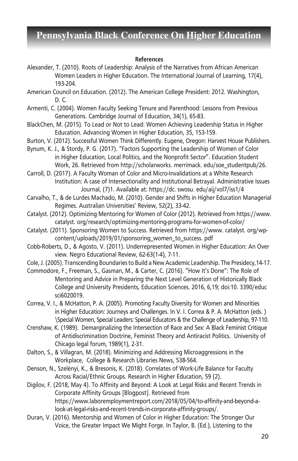#### **References**

- Alexander, T. (2010). Roots of Leadership: Analysis of the Narratives from African American Women Leaders in Higher Education. The International Journal of Learning, 17(4), 193-204.
- American Council on Education. (2012). The American College President: 2012. Washington, D. C.
- Armenti, C. (2004). Women Faculty Seeking Tenure and Parenthood: Lessons from Previous Generations. Cambridge Journal of Education, 34(1), 65-83.
- BlackChen, M. (2015). To Lead or Not to Lead: Women Achieving Leadership Status in Higher Education. Advancing Women in Higher Education, 35, 153-159.
- Burton, V. (2012). Successful Women Think Differently. Eugene, Oregon: Harvest House Publishers.
- Bynum, K. J., & Stordy, P. G. (2017). "Factors Supporting the Leadership of Women of Color in Higher Education, Local Politics, and the Nonprofit Sector". Education Student Work, 26. Retrieved from http://scholarworks. merrimack. edu/soe\_studentpub/26.

Carroll, D. (2017). A Faculty Woman of Color and Micro-Invalidations at a White Research Institution: A case of Intersectionality and Institutional Betrayal. Administrative Issues Journal, (7)1. Available at: https://dc. swosu. edu/aij/vol7/iss1/4

Carvalho, T., & de Lurdes Machado, M. (2010). Gender and Shifts in Higher Education Managerial Regimes. Australian Universities' Review, 52(2), 33-42.

Catalyst. (2012). Optimizing Mentoring for Women of Color (2012). Retrieved from https://www. catalyst. org/research/optimizing-mentoring-programs-for-women-of-color/

Catalyst. (2011). Sponsoring Women to Success. Retrieved from https://www. catalyst. org/wpcontent/uploads/2019/01/sponsoring\_women\_to\_success. pdf

Cobb-Roberts, D., & Agosto, V. (2011). Underrepresented Women in Higher Education: An Over view. Negro Educational Review, 62-63(1-4), 7-11.

Cole, J. (2005). Transcending Boundaries to Build a New Academic Leadership. The Presidecy,14-17.

Commodore, F., Freeman, S., Gasman, M., & Carter, C. (2016). "How It's Done": The Role of Mentoring and Advice in Preparing the Next Level Generation of Historically Black College and University Presidents, Education Sciences. 2016, 6,19; doi:10. 3390/educ sci6020019.

Correa, V. I., & McHatton, P. A. (2005). Promoting Faculty Diversity for Women and Minorities in Higher Education: Journeys and Challenges. In V. I. Correa & P. A. McHatton (eds. ) \Special Women, Special Leaders: Special Educators & the Challenge of Leadership, 97-110.

Crenshaw, K. (1989). Demarginalizing the Intersection of Race and Sex: A Black Feminist Critique of Antidiscrimination Doctrine, Feminist Theory and Antiracist Politics. University of Chicago legal forum, 1989(1), 2-31.

Dalton, S., & Villagran, M. (2018). Minimizing and Addressing Microaggressions in the Workplace, College & Research Libraries News, 538-564.

Denson, N., Szelényi, K., & Bresonis, K. (2018). Correlates of Work-Life Balance for Faculty Across Racial/Ethnic Groups. Research in Higher Education, 59 (2).

Digilov, F. (2018, May 4). To Affinity and Beyond: A Look at Legal Risks and Recent Trends in Corporate Affinity Groups [Blogpost]. Retrieved from https://www.laboremploymentreport.com/2018/05/04/to-affinity-and-beyond-alook-at-legal-risks-and-recent-trends-in-corporate-affinity-groups/.

Duran, V. (2016). Mentorship and Women of Color in Higher Education: The Stronger Our Voice, the Greater Impact We Might Forge. In Taylor, B. (Ed.), Listening to the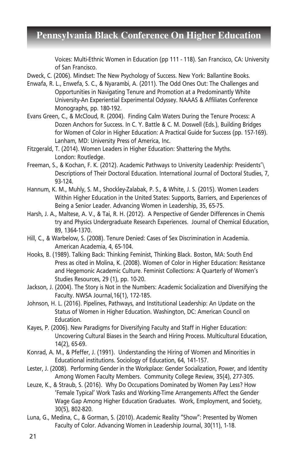Voices: Multi-Ethnic Women in Education (pp 111 - 118). San Francisco, CA: University of San Francisco.

Dweck, C. (2006). Mindset: The New Psychology of Success. New York: Ballantine Books.

- Enwafa, R. L., Enwefa, S. C., & Nyarambi, A. (2011). The Odd Ones Out: The Challenges and Opportunities in Navigating Tenure and Promotion at a Predominantly White University-An Experiential Experimental Odyssey. NAAAS & Affiliates Conference Monographs, pp. 180-192.
- Evans Green, C., & McCloud, R. (2004). Finding Calm Waters During the Tenure Process: A Dozen Anchors for Success. In C. Y. Battle & C. M. Doswell (Eds.), Building Bridges for Women of Color in Higher Education: A Practical Guide for Success (pp. 157-169). Lanham, MD: University Press of America, Inc.
- Fitzgerald, T. (2014). Women Leaders in Higher Education: Shattering the Myths. London: Routledge.
- Freeman, S., & Kochan, F. K. (2012). Academic Pathways to University Leadership: Presidents'\ Descriptions of Their Doctoral Education. International Journal of Doctoral Studies, 7, 93-124.
- Hannum, K. M., Muhly, S. M., Shockley-Zalabak, P. S., & White, J. S. (2015). Women Leaders Within Higher Education in the United States: Supports, Barriers, and Experiences of Being a Senior Leader. Advancing Women in Leadership, 35, 65-75.
- Harsh, J. A., Maltese, A. V., & Tai, R. H. (2012). A Perspective of Gender Differences in Chemis try and Physics Undergraduate Research Experiences. Journal of Chemical Education, 89, 1364-1370.
- Hill, C., & Warbelow, S. (2008). Tenure Denied: Cases of Sex Discrimination in Academia. American Academia, 4, 65-104.
- Hooks, B. (1989). Talking Back: Thinking Feminist, Thinking Black. Boston, MA: South End Press as cited in Molina, K. (2008). Women of Color in Higher Education: Resistance and Hegemonic Academic Culture. Feminist Collections: A Quarterly of Women's Studies Resources, 29 (1), pp. 10-20.
- Jackson, J. (2004). The Story is Not in the Numbers: Academic Socialization and Diversifying the Faculty. NWSA Journal,16(1), 172-185.
- Johnson, H. L. (2016). Pipelines, Pathways, and Institutional Leadership: An Update on the Status of Women in Higher Education. Washington, DC: American Council on Education.
- Kayes, P. (2006). New Paradigms for Diversifying Faculty and Staff in Higher Education: Uncovering Cultural Biases in the Search and Hiring Process. Multicultural Education, 14(2), 65-69.
- Konrad, A. M., & Pfeffer, J. (1991). Understanding the Hiring of Women and Minorities in Educational institutions. Sociology of Education, 64, 141-157.
- Lester, J. (2008). Performing Gender in the Workplace: Gender Socialization, Power, and Identity Among Women Faculty Members. Community College Review, 35(4), 277-305.
- Leuze, K., & Straub, S. (2016). Why Do Occupations Dominated by Women Pay Less? How 'Female Typical' Work Tasks and Working-Time Arrangements Affect the Gender Wage Gap Among Higher Education Graduates. Work, Employment, and Society, 30(5), 802-820.
- Luna, G., Medina, C., & Gorman, S. (2010). Academic Reality "Show": Presented by Women Faculty of Color. Advancing Women in Leadership Journal, 30(11), 1-18.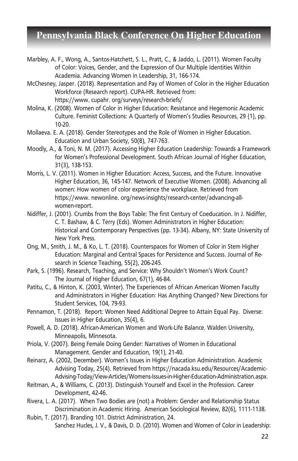- Marbley, A. F., Wong, A., Santos-Hatchett, S. L., Pratt, C., & Jaddo, L. (2011). Women Faculty of Color: Voices, Gender, and the Expression of Our Multiple Identities Within Academia. Advancing Women in Leadership, 31, 166-174.
- McChesney, Jasper. (2018). Representation and Pay of Women of Color in the Higher Education Workforce (Research report). CUPA-HR. Retrieved from: https://www. cupahr. org/surveys/research-briefs/
- Molina, K. (2008). Women of Color in Higher Education: Resistance and Hegemonic Academic Culture. Feminist Collections: A Quarterly of Women's Studies Resources, 29 (1), pp. 10-20.
- Mollaeva. E. A. (2018). Gender Stereotypes and the Role of Women in Higher Education. Education and Urban Society, 50(8), 747-763.
- Moodly, A., & Toni, N. M. (2017). Accessing Higher Education Leadership: Towards a Framework for Women's Professional Development. South African Journal of Higher Education, 31(3), 138-153.
- Morris, L. V. (2011). Women in Higher Education: Access, Success, and the Future. Innovative Higher Education, 36, 145-147. Network of Executive Women. (2008). Advancing all women: How women of color experience the workplace. Retrieved from https://www. newonline. org/news-insights/research-center/advancing-allwomen-report.
- Nidiffer, J. (2001). Crumbs from the Boys Table: The first Century of Coeducation. In J. Nidiffer, C. T. Bashaw, & C. Terry (Eds). Women Administrators in Higher Education: Historical and Contemporary Perspectives (pp. 13-34). Albany, NY: State University of New York Press.
- Ong, M., Smith, J. M., & Ko, L. T. (2018). Counterspaces for Women of Color in Stem Higher Education: Marginal and Central Spaces for Persistence and Success. Journal of Research in Science Teaching, 55(2), 206-245.
- Park, S. (1996). Research, Teaching, and Service: Why Shouldn't Women's Work Count? The Journal of Higher Education, 67(1), 46-84.
- Patitu, C., & Hinton, K. (2003, Winter). The Experiences of African American Women Faculty and Administrators in Higher Education: Has Anything Changed? New Directions for Student Services, 104, 79-93.
- Pennamon, T. (2018). Report: Women Need Additional Degree to Attain Equal Pay. Diverse: Issues in Higher Education, 35(4), 6.
- Powell, A. D. (2018). African-American Women and Work-Life Balance. Walden University, Minneapolis, Minnesota.
- Priola, V. (2007). Being Female Doing Gender: Narratives of Women in Educational Management. Gender and Education, 19(1), 21-40.
- Reinarz, A. (2002, December). Women's Issues in Higher Education Administration. Academic Advising Today, 25(4). Retrieved from https://nacada.ksu.edu/Resources/Academic-Advising-Today/View-Articles/Womens-Issues-in-Higher-Education-Administration.aspx.
- Reitman, A., & Williams, C. (2013). Distinguish Yourself and Excel in the Profession. Career Development, 42-46.
- Rivera, L. A. (2017). When Two Bodies are (not) a Problem: Gender and Relationship Status Discrimination in Academic Hiring. American Sociological Review, 82(6), 1111-1138.
- Rubin, T. (2017). Branding 101. District Administration, 24. Sanchez Hucles, J. V., & Davis, D. D. (2010). Women and Women of Color in Leadership: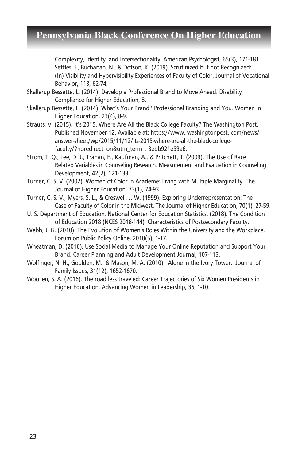Complexity, Identity, and Intersectionality. American Psychologist, 65(3), 171-181. Settles, I., Buchanan, N., & Dotson, K. (2019). Scrutinized but not Recognized: (In) Visibility and Hypervisibility Experiences of Faculty of Color. Journal of Vocational Behavior, 113, 62-74.

- Skallerup Bessette, L. (2014). Develop a Professional Brand to Move Ahead. Disability Compliance for Higher Education, 8.
- Skallerup Bessette, L. (2014). What's Your Brand? Professional Branding and You. Women in Higher Education, 23(4), 8-9.
- Strauss, V. (2015). It's 2015. Where Are All the Black College Faculty? The Washington Post. Published November 12. Available at: https://www. washingtonpost. com/news/ answer-sheet/wp/2015/11/12/its-2015-where-are-all-the-black-collegefaculty/?noredirect=on&utm\_term=. 3ebb921e59a6.
- Strom, T. Q., Lee, D. J., Trahan, E., Kaufman, A., & Pritchett, T. (2009). The Use of Race Related Variables in Counseling Research. Measurement and Evaluation in Counseling Development, 42(2), 121-133.
- Turner, C. S. V. (2002). Women of Color in Academe: Living with Multiple Marginality. The Journal of Higher Education, 73(1), 74-93.
- Turner, C. S. V., Myers, S. L., & Creswell, J. W. (1999). Exploring Underrepresentation: The Case of Faculty of Color in the Midwest. The Journal of Higher Education, 70(1), 27-59.
- U. S. Department of Education, National Center for Education Statistics. (2018). The Condition of Education 2018 (NCES 2018-144), Characteristics of Postsecondary Faculty.
- Webb, J. G. (2010). The Evolution of Women's Roles Within the University and the Workplace. Forum on Public Policy Online, 2010(5), 1-17.
- Wheatman, D. (2016). Use Social Media to Manage Your Online Reputation and Support Your Brand. Career Planning and Adult Development Journal, 107-113.
- Wolfinger, N. H., Goulden, M., & Mason, M. A. (2010). Alone in the Ivory Tower. Journal of Family Issues, 31(12), 1652-1670.
- Woollen, S. A. (2016). The road less traveled: Career Trajectories of Six Women Presidents in Higher Education. Advancing Women in Leadership, 36, 1-10.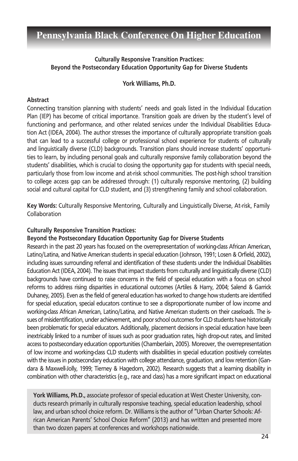### **Culturally Responsive Transition Practices: Beyond the Postsecondary Education Opportunity Gap for Diverse Students**

**York Williams, Ph.D.**

### **Abstract**

Connecting transition planning with students' needs and goals listed in the Individual Education Plan (IEP) has become of critical importance. Transition goals are driven by the student's level of functioning and performance, and other related services under the Individual Disabilities Education Act (IDEA, 2004). The author stresses the importance of culturally appropriate transition goals that can lead to a successful college or professional school experience for students of culturally and linguistically diverse (CLD) backgrounds. Transition plans should increase students' opportunities to learn, by including personal goals and culturally responsive family collaboration beyond the students' disabilities, which is crucial to closing the opportunity gap for students with special needs, particularly those from low income and at-risk school communities. The post-high school transition to college access gap can be addressed through: (1) culturally responsive mentoring, (2) building social and cultural capital for CLD student, and (3) strengthening family and school collaboration.

**Key Words:** Culturally Responsive Mentoring, Culturally and Linguistically Diverse, At-risk, Family Collaboration

### **Culturally Responsive Transition Practices:**

**Beyond the Postsecondary Education Opportunity Gap for Diverse Students**

Research in the past 20 years has focused on the overrepresentation of working-class African American, Latino/Latina, and Native American students in special education (Johnson, 1991; Losen & Orfield, 2002), including issues surrounding referral and identification of these students under the Individual Disabilities Education Act (IDEA, 2004). The issues that impact students from culturally and linguistically diverse (CLD) backgrounds have continued to raise concerns in the field of special education with a focus on school reforms to address rising disparities in educational outcomes (Artiles & Harry, 2004; Salend & Garrick Duhaney, 2005). Even as the field of general education has worked to change how students are identified for special education, special educators continue to see a disproportionate number of low income and working-class African American, Latino/Latina, and Native American students on their caseloads. The issues of misidentification, under achievement, and poor school outcomes for CLD students have historically been problematic for special educators. Additionally, placement decisions in special education have been inextricably linked to a number of issues such as poor graduation rates, high drop-out rates, and limited access to postsecondary education opportunities (Chamberlain, 2005). Moreover, the overrepresentation of low income and working-class CLD students with disabilities in special education positively correlates with the issues in postsecondary education with college attendance, graduation, and low retention (Gandara & Maxwell-Jolly, 1999; Tierney & Hagedorn, 2002). Research suggests that a learning disability in combination with other characteristics (e.g., race and class) has a more significant impact on educational

**York Williams, Ph.D.,** associate professor of special education at West Chester University, conducts research primarily in culturally responsive teaching, special education leadership, school law, and urban school choice reform. Dr. Williams is the author of "Urban Charter Schools: African American Parents' School Choice Reform" (2013) and has written and presented more than two dozen papers at conferences and workshops nationwide.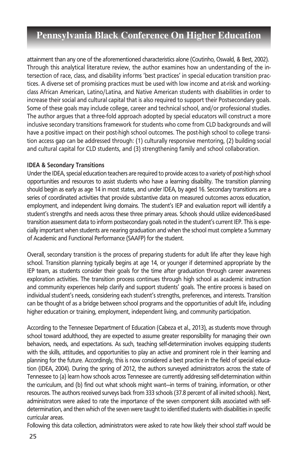attainment than any one of the aforementioned characteristics alone (Coutinho, Oswald, & Best, 2002). Through this analytical literature review, the author examines how an understanding of the intersection of race, class, and disability informs 'best practices' in special education transition practices. A diverse set of promising practices must be used with low income and at-risk and workingclass African American, Latino/Latina, and Native American students with disabilities in order to increase their social and cultural capital that is also required to support their Postsecondary goals. Some of these goals may include college, career and technical school, and/or professional studies. The author argues that a three-fold approach adopted by special educators will construct a more inclusive secondary transitions framework for students who come from CLD backgrounds and will have a positive impact on their post-high school outcomes. The post-high school to college transition access gap can be addressed through: (1) culturally responsive mentoring, (2) building social and cultural capital for CLD students, and (3) strengthening family and school collaboration.

#### **IDEA & Secondary Transitions**

Under the IDEA, special education teachers are required to provide access to a variety of post-high school opportunities and resources to assist students who have a learning disability. The transition planning should begin as early as age 14 in most states, and under IDEA, by aged 16. Secondary transitions are a series of coordinated activities that provide substantive data on measured outcomes across education, employment, and independent living domains. The student's IEP and evaluation report will identify a student's strengths and needs across these three primary areas. Schools should utilize evidenced-based transition assessment data to inform postsecondary goals noted in the student's current IEP. This is especially important when students are nearing graduation and when the school must complete a Summary of Academic and Functional Performance (SAAFP) for the student.

Overall, secondary transition is the process of preparing students for adult life after they leave high school. Transition planning typically begins at age 14, or younger if determined appropriate by the IEP team, as students consider their goals for the time after graduation through career awareness exploration activities. The transition process continues through high school as academic instruction and community experiences help clarify and support students' goals. The entire process is based on individual student's needs, considering each student's strengths, preferences, and interests. Transition can be thought of as a bridge between school programs and the opportunities of adult life, including higher education or training, employment, independent living, and community participation.

According to the Tennessee Department of Education (Cabeza et al., 2013), as students move through school toward adulthood, they are expected to assume greater responsibility for managing their own behaviors, needs, and expectations. As such, teaching self-determination involves equipping students with the skills, attitudes, and opportunities to play an active and prominent role in their learning and planning for the future. Accordingly, this is now considered a best practice in the field of special education (IDEA, 2004). During the spring of 2012, the authors surveyed administrators across the state of Tennessee to (a) learn how schools across Tennessee are currently addressing self-determination within the curriculum, and (b) find out what schools might want—in terms of training, information, or other resources. The authors received surveys back from 333 schools (37.8 percent of all invited schools). Next, administrators were asked to rate the importance of the seven component skills associated with selfdetermination, and then which of the seven were taught to identified students with disabilities in specific curricular areas.

Following this data collection, administrators were asked to rate how likely their school staff would be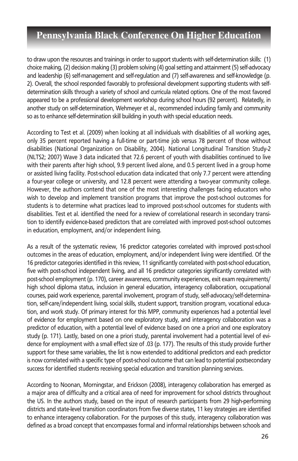to draw upon the resources and trainings in order to support students with self-determination skills: (1) choice making, (2) decision making (3) problem solving (4) goal setting and attainment (5) self-advocacy and leadership (6) self-management and self-regulation and (7) self-awareness and self-knowledge (p. 2). Overall, the school responded favorably to professional development supporting students with selfdetermination skills through a variety of school and curricula related options. One of the most favored appeared to be a professional development workshop during school hours (92 percent). Relatedly, in another study on self-determination, Wehmeyer et al., recommended including family and community so as to enhance self-determination skill building in youth with special education needs.

According to Test et al. (2009) when looking at all individuals with disabilities of all working ages, only 35 percent reported having a full-time or part-time job versus 78 percent of those without disabilities (National Organization on Disability, 2004). National Longitudinal Transition Study-2 (NLTS2; 2007) Wave 3 data indicated that 72.6 percent of youth with disabilities continued to live with their parents after high school, 9.9 percent lived alone, and 0.5 percent lived in a group home or assisted living facility. Post-school education data indicated that only 7.7 percent were attending a four-year college or university, and 12.8 percent were attending a two-year community college. However, the authors contend that one of the most interesting challenges facing educators who wish to develop and implement transition programs that improve the post-school outcomes for students is to determine what practices lead to improved post-school outcomes for students with disabilities. Test et al. identified the need for a review of correlational research in secondary transition to identify evidence-based predictors that are correlated with improved post-school outcomes in education, employment, and/or independent living.

As a result of the systematic review, 16 predictor categories correlated with improved post-school outcomes in the areas of education, employment, and/or independent living were identified. Of the 16 predictor categories identified in this review, 11 significantly correlated with post-school education, five with post-school independent living, and all 16 predictor categories significantly correlated with post-school employment (p. 170), career awareness, community experiences, exit exam requirements/ high school diploma status, inclusion in general education, interagency collaboration, occupational courses, paid work experience, parental involvement, program of study, self-advocacy/self-determination, self-care/independent living, social skills, student support, transition program, vocational education, and work study. Of primary interest for this MPP, community experiences had a potential level of evidence for employment based on one exploratory study, and interagency collaboration was a predictor of education, with a potential level of evidence based on one a priori and one exploratory study (p. 171). Lastly, based on one a priori study, parental involvement had a potential level of evidence for employment with a small effect size of .03 (p. 177). The results of this study provide further support for these same variables, the list is now extended to additional predictors and each predictor is now correlated with a specific type of post-school outcome that can lead to potential postsecondary success for identified students receiving special education and transition planning services.

According to Noonan, Morningstar, and Erickson (2008), interagency collaboration has emerged as a major area of difficulty and a critical area of need for improvement for school districts throughout the US. In the authors study, based on the input of research participants from 29 high-performing districts and state-level transition coordinators from five diverse states, 11 key strategies are identified to enhance interagency collaboration. For the purposes of this study, interagency collaboration was defined as a broad concept that encompasses formal and informal relationships between schools and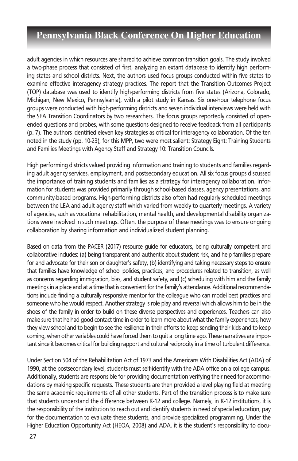adult agencies in which resources are shared to achieve common transition goals. The study involved a two-phase process that consisted of first, analyzing an extant database to identify high performing states and school districts. Next, the authors used focus groups conducted within five states to examine effective interagency strategy practices. The report that the Transition Outcomes Project (TOP) database was used to identify high-performing districts from five states (Arizona, Colorado, Michigan, New Mexico, Pennsylvania), with a pilot study in Kansas. Six one-hour telephone focus groups were conducted with high-performing districts and seven individual interviews were held with the SEA Transition Coordinators by two researchers. The focus groups reportedly consisted of openended questions and probes, with some questions designed to receive feedback from all participants (p. 7). The authors identified eleven key strategies as critical for interagency collaboration. Of the ten noted in the study (pp. 10-23), for this MPP, two were most salient: Strategy Eight: Training Students and Families Meetings with Agency Staff and Strategy 10: Transition Councils.

High performing districts valued providing information and training to students and families regarding adult agency services, employment, and postsecondary education. All six focus groups discussed the importance of training students and families as a strategy for interagency collaboration. Information for students was provided primarily through school-based classes, agency presentations, and community-based programs. High-performing districts also often had regularly scheduled meetings between the LEA and adult agency staff which varied from weekly to quarterly meetings. A variety of agencies, such as vocational rehabilitation, mental health, and developmental disability organizations were involved in such meetings. Often, the purpose of these meetings was to ensure ongoing collaboration by sharing information and individualized student planning.

Based on data from the PACER (2017) resource guide for educators, being culturally competent and collaborative includes: (a) being transparent and authentic about student risk, and help families prepare for and advocate for their son or daughter's safety, (b) identifying and taking necessary steps to ensure that families have knowledge of school policies, practices, and procedures related to transition, as well as concerns regarding immigration, bias, and student safety, and (c) scheduling with him and the family meetings in a place and at a time that is convenient for the family's attendance. Additional recommendations include finding a culturally responsive mentor for the colleague who can model best practices and someone who he would respect. Another strategy is role play and reversal which allows him to be in the shoes of the family in order to build on these diverse perspectives and experiences. Teachers can also make sure that he had good contact time in order to learn more about what the family experiences, how they view school and to begin to see the resilience in their efforts to keep sending their kids and to keep coming, when other variables could have forced them to quit a long time ago. These narratives are important since it becomes critical for building rapport and cultural reciprocity in a time of turbulent difference.

Under Section 504 of the Rehabilitation Act of 1973 and the Americans With Disabilities Act (ADA) of 1990, at the postsecondary level, students must self-identify with the ADA office on a college campus. Additionally, students are responsible for providing documentation verifying their need for accommodations by making specific requests. These students are then provided a level playing field at meeting the same academic requirements of all other students. Part of the transition process is to make sure that students understand the difference between K-12 and college. Namely, in K-12 institutions, it is the responsibility of the institution to reach out and identify students in need of special education, pay for the documentation to evaluate these students, and provide specialized programming. Under the Higher Education Opportunity Act (HEOA, 2008) and ADA, it is the student's responsibility to docu-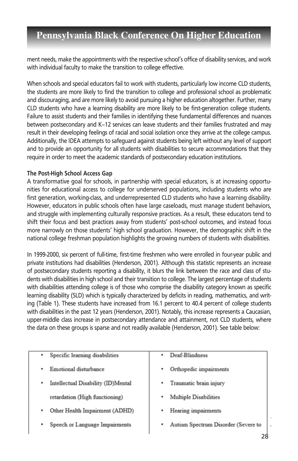ment needs, make the appointments with the respective school's office of disability services, and work with individual faculty to make the transition to college effective.

When schools and special educators fail to work with students, particularly low income CLD students, the students are more likely to find the transition to college and professional school as problematic and discouraging, and are more likely to avoid pursuing a higher education altogether. Further, many CLD students who have a learning disability are more likely to be first-generation college students. Failure to assist students and their families in identifying these fundamental differences and nuances between postsecondary and K–12 services can leave students and their families frustrated and may result in their developing feelings of racial and social isolation once they arrive at the college campus. Additionally, the IDEA attempts to safeguard against students being left without any level of support and to provide an opportunity for all students with disabilities to secure accommodations that they require in order to meet the academic standards of postsecondary education institutions.

### **The Post-High School Access Gap**

A transformative goal for schools, in partnership with special educators, is at increasing opportunities for educational access to college for underserved populations, including students who are first generation, working-class, and underrepresented CLD students who have a learning disability. However, educators in public schools often have large caseloads, must manage student behaviors, and struggle with implementing culturally responsive practices. As a result, these educators tend to shift their focus and best practices away from students' post-school outcomes, and instead focus more narrowly on those students' high school graduation. However, the demographic shift in the national college freshman population highlights the growing numbers of students with disabilities.

In 1999-2000, six percent of full-time, first-time freshmen who were enrolled in four-year public and private institutions had disabilities (Henderson, 2001). Although this statistic represents an increase of postsecondary students reporting a disability, it blurs the link between the race and class of students with disabilities in high school and their transition to college. The largest percentage of students with disabilities attending college is of those who comprise the disability category known as specific learning disability (SLD) which is typically characterized by deficits in reading, mathematics, and writing (Table 1). These students have increased from 16.1 percent to 40.4 percent of college students with disabilities in the past 12 years (Henderson, 2001). Notably, this increase represents a Caucasian, upper-middle class increase in postsecondary attendance and attainment, not CLD students, where the data on these groups is sparse and not readily available (Henderson, 2001). See table below:

| Specific learning disabilities     | Deaf-Blindness                           |
|------------------------------------|------------------------------------------|
| ٠                                  | ٠                                        |
| Emotional disturbance              | Orthopedic impairments                   |
| ٠                                  | ٠                                        |
| Intellectual Disability (ID)Mental | Traumatic brain injury                   |
| ٠                                  | ٠                                        |
| retardation (High functioning)     | Multiple Disabilities<br>٠               |
| Other Health Impairment (ADHD)     | Hearing impairments                      |
| ٠                                  | ٠                                        |
| Speech or Language Impairments     | Autism Spectrum Disorder (Severe to<br>٠ |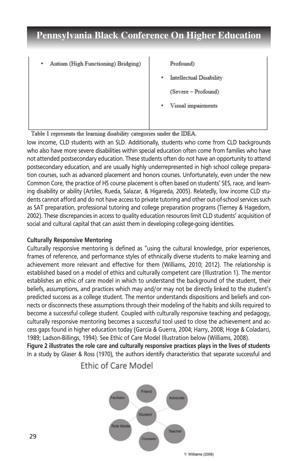Autism (High Functioning) Bridging)

Profound)

**Intellectual Disability** 

(Severe - Profound)

Visual impairments

Table 1 represents the learning disability categories under the IDEA.

low income, CLD students with an SLD. Additionally, students who come from CLD backgrounds who also have more severe disabilities within special education often come from families who have not attended postsecondary education. These students often do not have an opportunity to attend postsecondary education, and are usually highly underrepresented in high school college preparation courses, such as advanced placement and honors courses. Unfortunately, even under the new Common Core, the practice of HS course placement is often based on students' SES, race, and learning disability or ability (Artiles, Rueda, Salazar, & Higareda, 2005). Relatedly, low income CLD students cannot afford and do not have access to private tutoring and other out-of-school services such as SAT preparation, professional tutoring and college preparation programs (Tierney & Hagedorn, 2002). These discrepancies in access to quality education resources limit CLD students' acquisition of social and cultural capital that can assist them in developing college-going identities.

### **Culturally Responsive Mentoring**

Culturally responsive mentoring is defined as "using the cultural knowledge, prior experiences, frames of reference, and performance styles of ethnically diverse students to make learning and achievement more relevant and effective for them (Williams, 2010; 2012). The relationship is established based on a model of ethics and culturally competent care (Illustration 1). The mentor establishes an ethic of care model in which to understand the background of the student, their beliefs, assumptions, and practices which may and/or may not be directly linked to the student's predicted success as a college student. The mentor understands dispositions and beliefs and connects or disconnects these assumptions through their modeling of the habits and skills required to become a successful college student. Coupled with culturally responsive teaching and pedagogy, culturally responsive mentoring becomes a successful tool used to close the achievement and access gaps found in higher education today (Garcia & Guerra, 2004; Harry, 2008; Hoge & Coladarci, 1989; Ladson-Billings, 1994). See Ethic of Care Model Illustration below (Williams, 2008). **Figure 2 illustrates the role care and culturally responsive practices plays in the lives of students**

In a study by Glaser & Ross (1970), the authors identify characteristics that separate successful and

Ethic of Care Model

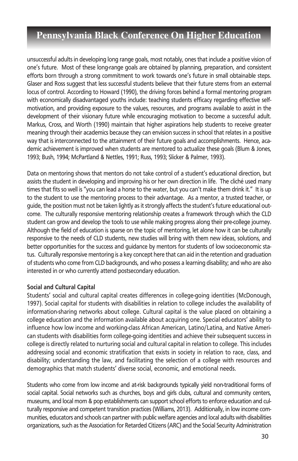unsuccessful adults in developing long range goals, most notably, ones that include a positive vision of one's future. Most of these long-range goals are obtained by planning, preparation, and consistent efforts born through a strong commitment to work towards one's future in small obtainable steps. Glaser and Ross suggest that less successful students believe that their future stems from an external locus of control. According to Howard (1990), the driving forces behind a formal mentoring program with economically disadvantaged youths include: teaching students efficacy regarding effective selfmotivation, and providing exposure to the values, resources, and programs available to assist in the development of their visionary future while encouraging motivation to become a successful adult. Markus, Cross, and Worth (1990) maintain that higher aspirations help students to receive greater meaning through their academics because they can envision success in school that relates in a positive way that is interconnected to the attainment of their future goals and accomplishments. Hence, academic achievement is improved when students are mentored to actualize these goals (Blum & Jones, 1993; Bush, 1994; McPartland & Nettles, 1991; Russ, 1993; Slicker & Palmer, 1993).

Data on mentoring shows that mentors do not take control of a student's educational direction, but assists the student in developing and improving his or her own direction in life. The cliché used many times that fits so well is "you can lead a horse to the water, but you can't make them drink it." It is up to the student to use the mentoring process to their advantage. As a mentor, a trusted teacher, or guide, the position must not be taken lightly as it strongly affects the student's future educational outcome. The culturally responsive mentoring relationship creates a framework through which the CLD student can grow and develop the tools to use while making progress along their pre-college journey. Although the field of education is sparse on the topic of mentoring, let alone how it can be culturally responsive to the needs of CLD students, new studies will bring with them new ideas, solutions, and better opportunities for the success and guidance by mentors for students of low socioeconomic status. Culturally responsive mentoring is a key concept here that can aid in the retention and graduation of students who come from CLD backgrounds, and who possess a learning disability; and who are also interested in or who currently attend postsecondary education.

### **Social and Cultural Capital**

Students' social and cultural capital creates differences in college-going identities (McDonough, 1997). Social capital for students with disabilities in relation to college includes the availability of information-sharing networks about college. Cultural capital is the value placed on obtaining a college education and the information available about acquiring one. Special educators' ability to influence how low income and working-class African American, Latino/Latina, and Native American students with disabilities form college-going identities and achieve their subsequent success in college is directly related to nurturing social and cultural capital in relation to college. This includes addressing social and economic stratification that exists in society in relation to race, class, and disability; understanding the law, and facilitating the selection of a college with resources and demographics that match students' diverse social, economic, and emotional needs.

Students who come from low income and at-risk backgrounds typically yield non-traditional forms of social capital. Social networks such as churches, boys and girls clubs, cultural and community centers, museums, and local mom & pop establishments can support school efforts to enforce education and culturally responsive and competent transition practices (Williams, 2013). Additionally, in low income communities, educators and schools can partner with public welfare agencies and local adults with disabilities organizations, such as the Association for Retarded Citizens (ARC) and the Social Security Administration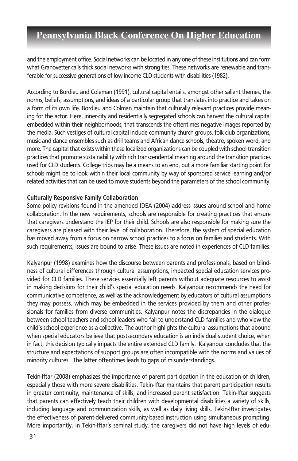and the employment office. Social networks can be located in any one of these institutions and can form what Granovetter calls thick social networks with strong ties. These networks are renewable and transferable for successive generations of low income CLD students with disabilities (1982).

According to Bordieu and Coleman (1991), cultural capital entails, amongst other salient themes, the norms, beliefs, assumptions, and ideas of a particular group that translates into practice and takes on a form of its own life. Bordieu and Colman maintain that culturally relevant practices provide meaning for the actor. Here, inner-city and residentially segregated schools can harvest the cultural capital embedded within their neighborhoods, that transcends the oftentimes negative images reported by the media. Such vestiges of cultural capital include community church groups, folk club organizations, music and dance ensembles such as drill teams and African dance schools, theatre, spoken word, and more. The capital that exists within these localized organizations can be coupled with school transition practices that promote sustainability with rich transcendental meaning around the transition practices used for CLD students. College trips may be a means to an end, but a more familiar starting point for schools might be to look within their local community by way of sponsored service learning and/or related activities that can be used to move students beyond the parameters of the school community.

### **Culturally Responsive Family Collaboration**

Some policy revisions found in the amended IDEA (2004) address issues around school and home collaboration. In the new requirements, schools are responsible for creating practices that ensure that caregivers understand the IEP for their child. Schools are also responsible for making sure the caregivers are pleased with their level of collaboration. Therefore, the system of special education has moved away from a focus on narrow school practices to a focus on families and students. With such requirements, issues are bound to arise. These issues are noted in experiences of CLD families.

Kalyanpur (1998) examines how the discourse between parents and professionals, based on blindness of cultural differences through cultural assumptions, impacted special education services provided for CLD families. These services essentially left parents without adequate resources to assist in making decisions for their child's special education needs. Kalyanpur recommends the need for communicative competence, as well as the acknowledgement by educators of cultural assumptions they may possess, which may be embedded in the services provided by them and other professionals for families from diverse communities. Kalyanpur notes the discrepancies in the dialogue between school teachers and school leaders who fail to understand CLD families and who view the child's school experience as a collective. The author highlights the cultural assumptions that abound when special educators believe that postsecondary education is an individual student choice, when in fact, this decision typically impacts the entire extended CLD family. Kalyanpur concludes that the structure and expectations of support groups are often incompatible with the norms and values of minority cultures. The latter oftentimes leads to gaps of misunderstandings.

Tekin-Iftar (2008) emphasizes the importance of parent participation in the education of children, especially those with more severe disabilities. Tekin-Iftar maintains that parent participation results in greater continuity, maintenance of skills, and increased parent satisfaction. Tekin-Iftar suggests that parents can effectively teach their children with developmental disabilities a variety of skills, including language and communication skills, as well as daily living skills. Tekin-Iftar investigates the effectiveness of parent-delivered community-based instruction using simultaneous prompting. More importantly, in Tekin-Iftar's seminal study, the caregivers did not have high levels of edu-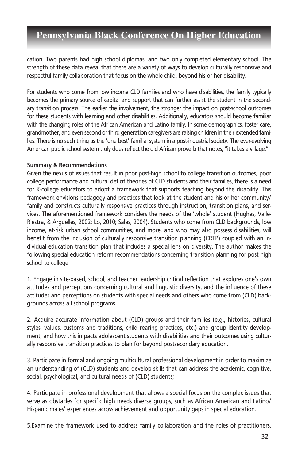cation. Two parents had high school diplomas, and two only completed elementary school. The strength of these data reveal that there are a variety of ways to develop culturally responsive and respectful family collaboration that focus on the whole child, beyond his or her disability.

For students who come from low income CLD families and who have disabilities, the family typically becomes the primary source of capital and support that can further assist the student in the secondary transition process. The earlier the involvement, the stronger the impact on post-school outcomes for these students with learning and other disabilities. Additionally, educators should become familiar with the changing roles of the African American and Latino family. In some demographics, foster care, grandmother, and even second or third generation caregivers are raising children in their extended families. There is no such thing as the 'one best' familial system in a post-industrial society. The ever-evolving American public school system truly does reflect the old African proverb that notes, "it takes a village."

#### **Summary & Recommendations**

Given the nexus of issues that result in poor post-high school to college transition outcomes, poor college performance and cultural deficit theories of CLD students and their families, there is a need for K-college educators to adopt a framework that supports teaching beyond the disability. This framework envisions pedagogy and practices that look at the student and his or her community/ family and constructs culturally responsive practices through instruction, transition plans, and services. The aforementioned framework considers the needs of the 'whole' student (Hughes, Valle-Riestra, & Arguelles, 2002; Lo, 2010; Salas, 2004). Students who come from CLD backgrounds, low income, at-risk urban school communities, and more, and who may also possess disabilities, will benefit from the inclusion of culturally responsive transition planning (CRTP) coupled with an individual education transition plan that includes a special lens on diversity. The author makes the following special education reform recommendations concerning transition planning for post high school to college:

1. Engage in site-based, school, and teacher leadership critical reflection that explores one's own attitudes and perceptions concerning cultural and linguistic diversity, and the influence of these attitudes and perceptions on students with special needs and others who come from (CLD) backgrounds across all school programs.

2. Acquire accurate information about (CLD) groups and their families (e.g., histories, cultural styles, values, customs and traditions, child rearing practices, etc.) and group identity development, and how this impacts adolescent students with disabilities and their outcomes using culturally responsive transition practices to plan for beyond postsecondary education.

3. Participate in formal and ongoing multicultural professional development in order to maximize an understanding of (CLD) students and develop skills that can address the academic, cognitive, social, psychological, and cultural needs of (CLD) students;

4. Participate in professional development that allows a special focus on the complex issues that serve as obstacles for specific high needs diverse groups, such as African American and Latino/ Hispanic males' experiences across achievement and opportunity gaps in special education.

5.Examine the framework used to address family collaboration and the roles of practitioners,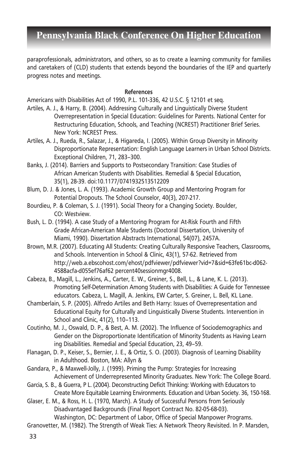paraprofessionals, administrators, and others, so as to create a learning community for families and caretakers of (CLD) students that extends beyond the boundaries of the IEP and quarterly progress notes and meetings.

#### **References**

Americans with Disabilities Act of 1990, P.L. 101-336, 42 U.S.C. § 12101 et seq.

- Artiles, A. J., & Harry, B. (2004). Addressing Culturally and Linguistically Diverse Student Overrepresentation in Special Education: Guidelines for Parents. National Center for Restructuring Education, Schools, and Teaching (NCREST) Practitioner Brief Series. New York: NCREST Press.
- Artiles, A. J., Rueda, R., Salazar, J., & Higareda, I. (2005). Within Group Diversity in Minority Disproportionate Representation: English Language Learners in Urban School Districts. Exceptional Children, 71, 283–300.
- Banks, J. (2014). Barriers and Supports to Postsecondary Transition: Case Studies of African American Students with Disabilities. Remedial & Special Education, 35(1), 28-39. doi:10.1177/0741932513512209
- Blum, D. J. & Jones, L. A. (1993). Academic Growth Group and Mentoring Program for Potential Dropouts. The School Counselor, 40(3), 207-217.
- Bourdieu, P. & Coleman, S. J. (1991). Social Theory for a Changing Society. Boulder, CO: Westview.
- Bush, L. D. (1994). A case Study of a Mentoring Program for At-Risk Fourth and Fifth Grade African-American Male Students (Doctoral Dissertation, University of Miami, 1990). Dissertation Abstracts International, 54(07), 2457A.
- Brown, M.R. (2007). Educating All Students: Creating Culturally Responsive Teachers, Classrooms, and Schools. Intervention in School & Clinic, 43(1), 57-62. Retrieved from http://web.a.ebscohost.com/ehost/pdfviewer/pdfviewer?vid=7&sid=63fe61bc-d062- 4588acfa-d055ef76af62 percent40sessionmgr4008.
- Cabeza, B., Magill, L., Jenkins, A., Carter, E. W., Greiner, S., Bell, L., & Lane, K. L. (2013). Promoting Self-Determination Among Students with Disabilities: A Guide for Tennessee educators. Cabeza, L. Magill, A. Jenkins, EW Carter, S. Greiner, L. Bell, KL Lane.
- Chamberlain, S. P. (2005). Alfredo Artiles and Beth Harry: Issues of Overrepresentation and Educational Equity for Culturally and Linguistically Diverse Students. Intervention in School and Clinic, 41(2), 110–113.
- Coutinho, M. J., Oswald, D. P., & Best, A. M. (2002). The Influence of Sociodemographics and Gender on the Disproportionate Identification of Minority Students as Having Learn ing Disabilities. Remedial and Special Education, 23, 49–59.
- Flanagan, D. P., Keiser, S., Bernier, J. E., & Ortiz, S. O. (2003). Diagnosis of Learning Disability in Adulthood. Boston, MA: Allyn &
- Gandara, P., & Maxwell-Jolly, J. (1999). Priming the Pump: Strategies for Increasing Achievement of Underrepresented Minority Graduates. New York: The College Board.
- Garcia, S. B., & Guerra, P L. (2004). Deconstructing Deficit Thinking: Working with Educators to Create More Equitable Learning Environments. Education and Urban Society. 36, 150-168.

Glaser, E. M., & Ross, H. L. (1970, March). A Study of Successful Persons from Seriously Disadvantaged Backgrounds (Final Report Contract No. 82-05-68-03). Washington, DC: Department of Labor, Office of Special Manpower Programs.

Granovetter, M. (1982). The Strength of Weak Ties: A Network Theory Revisited. In P. Marsden,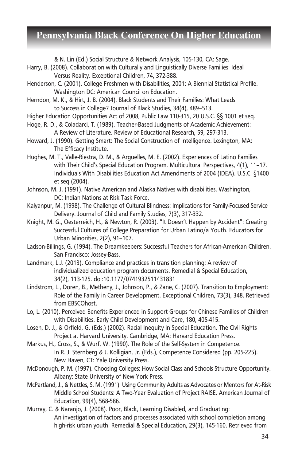& N. Lin (Ed.) Social Structure & Network Analysis, 105-130, CA: Sage.

- Harry, B. (2008). Collaboration with Culturally and Linguistically Diverse Families: Ideal Versus Reality. Exceptional Children, 74, 372-388.
- Henderson, C. (2001). College Freshmen with Disabilities, 2001: A Biennial Statistical Profile. Washington DC: American Council on Education.
- Herndon, M. K., & Hirt, J. B. (2004). Black Students and Their Families: What Leads to Success in College? Journal of Black Studies, 34(4), 489–513.
- Higher Education Opportunities Act of 2008, Public Law 110-315, 20 U.S.C. §§ 1001 et seq.
- Hoge, R. D., & Coladarci, T. (1989). Teacher-Based Judgments of Academic Achievement: A Review of Literature. Review of Educational Research, 59, 297-313.
- Howard, J. (1990). Getting Smart: The Social Construction of Intelligence. Lexington, MA: The Efficacy Institute.
- Hughes, M. T., Valle-Riestra, D. M., & Arguelles, M. E. (2002). Experiences of Latino Families with Their Child's Special Education Program. Multicultural Perspectives, 4(1), 11–17. Individuals With Disabilities Education Act Amendments of 2004 (IDEA). U.S.C. §1400 et seq (2004).
- Johnson, M. J. (1991). Native American and Alaska Natives with disabilities. Washington, DC: Indian Nations at Risk Task Force.
- Kalyanpur, M. (1998). The Challenge of Cultural Blindness: Implications for Family-Focused Service Delivery. Journal of Child and Family Studies, 7(3), 317-332.
- Knight, M. G., Oesterreich, H., & Newton, R. (2003). "It Doesn't Happen by Accident": Creating Successful Cultures of College Preparation for Urban Latino/a Youth. Educators for Urban Minorities, 2(2), 91–107.
- Ladson-Billings, G. (1994). The Dreamkeepers: Successful Teachers for African-American Children. San Francisco: Jossey-Bass.
- Landmark, L.J. (2013). Compliance and practices in transition planning: A review of individualized education program documents. Remedial & Special Education, 34(2), 113-125. doi:10.1177/0741932511431831
- Lindstrom, L., Doren, B., Metheny, J., Johnson, P., & Zane, C. (2007). Transition to Employment: Role of the Family in Career Development. Exceptional Children, 73(3), 348. Retrieved from EBSCOhost.
- Lo, L. (2010). Perceived Benefits Experienced in Support Groups for Chinese Families of Children with Disabilities. Early Child Development and Care, 180, 405-415.
- Losen, D. J., & Orfield, G. (Eds.) (2002). Racial Inequity in Special Education. The Civil Rights Project at Harvard University. Cambridge, MA: Harvard Education Press.
- Markus, H., Cross, S., & Wurf, W. (1990). The Role of the Self-System in Competence. In R. J. Sternberg & J. Kolligian, Jr. (Eds.), Competence Considered (pp. 205-225). New Haven, CT: Yale University Press.
- McDonough, P. M. (1997). Choosing Colleges: How Social Class and Schools Structure Opportunity. Albany: State University of New York Press.
- McPartland, J., & Nettles, S. M. (1991). Using Community Adults as Advocates or Mentors for At-Risk Middle School Students: A Two-Year Evaluation of Project RAISE. American Journal of Education, 99(4), 568-586.
- Murray, C. & Naranjo, J. (2008). Poor, Black, Learning Disabled, and Graduating: An investigation of factors and processes associated with school completion among high-risk urban youth. Remedial & Special Education, 29(3), 145-160. Retrieved from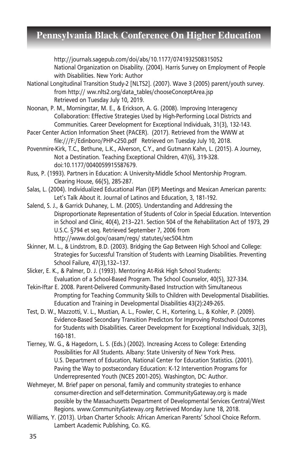http://journals.sagepub.com/doi/abs/10.1177/0741932508315052 National Organization on Disability. (2004). Harris Survey on Employment of People with Disabilities. New York: Author

- National Longitudinal Transition Study-2 [NLTS2]. (2007). Wave 3 (2005) parent/youth survey. from http:// ww.nlts2.org/data\_tables/chooseConceptArea.jsp Retrieved on Tuesday July 10, 2019.
- Noonan, P. M., Morningstar, M. E., & Erickson, A. G. (2008). Improving Interagency Collaboration: Effective Strategies Used by High-Performing Local Districts and Communities. Career Development for Exceptional Individuals, 31(3), 132-143.
- Pacer Center Action Information Sheet (PACER). (2017). Retrieved from the WWW at file:///F:/Edinboro/PHP-c250.pdf Retrieved on Tuesday July 10, 2018.
- Povenmire-Kirk, T.C., Bethune, L.K., Alverson, C.Y., and Gutmann Kahn, L. (2015). A Journey, Not a Destination. Teaching Exceptional Children, 47(6), 319-328. doi:10.1177/0040059915587679.
- Russ, P. (1993). Partners in Education: A University-Middle School Mentorship Program. Clearing House, 66(5), 285-287.
- Salas, L. (2004). Individualized Educational Plan (IEP) Meetings and Mexican American parents: Let's Talk About it. Journal of Latinos and Education, 3, 181-192.
- Salend, S. J., & Garrick Duhaney, L. M. (2005). Understanding and Addressing the Disproportionate Representation of Students of Color in Special Education. Intervention in School and Clinic, 40(4), 213–221. Section 504 of the Rehabilitation Act of 1973, 29 U.S.C. §794 et seq. Retrieved September 7, 2006 from http://www.dol.gov/oasam/regs/ statutes/sec504.htm
- Skinner, M. L., & Lindstrom, B.D. (2003). Bridging the Gap Between High School and College: Strategies for Successful Transition of Students with Learning Disabilities. Preventing School Failure, 47(3),132–137.
- Slicker, E. K., & Palmer, D. J. (1993). Mentoring At-Risk High School Students: Evaluation of a School-Based Program. The School Counselor, 40(5), 327-334.
- Tekin-Iftar E. 2008. Parent-Delivered Community-Based Instruction with Simultaneous Prompting for Teaching Community Skills to Children with Developmental Disabilities. Education and Training in Developmental Disabilities 43(2):249-265.
- Test, D. W., Mazzotti, V. L., Mustian, A. L., Fowler, C. H., Kortering, L., & Kohler, P. (2009). Evidence-Based Secondary Transition Predictors for Improving Postschool Outcomes for Students with Disabilities. Career Development for Exceptional Individuals, 32(3), 160-181.
- Tierney, W. G., & Hagedorn, L. S. (Eds.) (2002). Increasing Access to College: Extending Possibilities for All Students. Albany: State University of New York Press. U.S. Department of Education, National Center for Education Statistics. (2001). Paving the Way to postsecondary Education: K-12 Intervention Programs for Underrepresented Youth (NCES 2001-205). Washington, DC: Author.
- Wehmeyer, M. Brief paper on personal, family and community strategies to enhance consumer-direction and self-determination. CommunityGateway.org is made possible by the Massachusetts Department of Developmental Services Central/West Regions. www.CommunityGateway.org Retrieved Monday June 18, 2018.
- Williams, Y. (2013). Urban Charter Schools: African American Parents' School Choice Reform. Lambert Academic Publishing, Co. KG.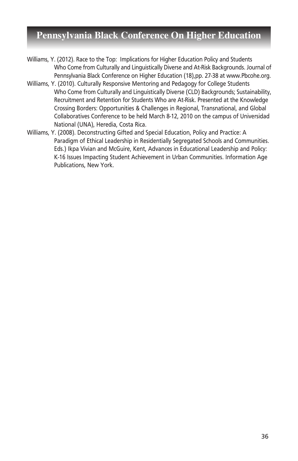- Williams, Y. (2012). Race to the Top: Implications for Higher Education Policy and Students Who Come from Culturally and Linguistically Diverse and At-Risk Backgrounds. Journal of Pennsylvania Black Conference on Higher Education (18),pp. 27-38 at www.Pbcohe.org.
- Williams, Y. (2010). Culturally Responsive Mentoring and Pedagogy for College Students Who Come from Culturally and Linguistically Diverse (CLD) Backgrounds; Sustainability, Recruitment and Retention for Students Who are At-Risk. Presented at the Knowledge Crossing Borders: Opportunities & Challenges in Regional, Transnational, and Global Collaboratives Conference to be held March 8-12, 2010 on the campus of Universidad National (UNA), Heredia, Costa Rica.
- Williams, Y. (2008). Deconstructing Gifted and Special Education, Policy and Practice: A Paradigm of Ethical Leadership in Residentially Segregated Schools and Communities. Eds.) Ikpa Vivian and McGuire, Kent, Advances in Educational Leadership and Policy: K-16 Issues Impacting Student Achievement in Urban Communities. Information Age Publications, New York.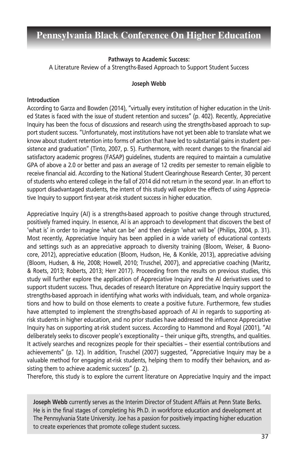#### **Pathways to Academic Success:**

A Literature Review of a Strengths-Based Approach to Support Student Success

#### **Joseph Webb**

#### **Introduction**

According to Garza and Bowden (2014), "virtually every institution of higher education in the United States is faced with the issue of student retention and success" (p. 402). Recently, Appreciative Inquiry has been the focus of discussions and research using the strengths-based approach to support student success. "Unfortunately, most institutions have not yet been able to translate what we know about student retention into forms of action that have led to substantial gains in student persistence and graduation" (Tinto, 2007, p. 5). Furthermore, with recent changes to the financial aid satisfactory academic progress (FASAP) guidelines, students are required to maintain a cumulative GPA of above a 2.0 or better and pass an average of 12 credits per semester to remain eligible to receive financial aid. According to the National Student Clearinghouse Research Center, 30 percent of students who entered college in the fall of 2014 did not return in the second year. In an effort to support disadvantaged students, the intent of this study will explore the effects of using Appreciative Inquiry to support first-year at-risk student success in higher education.

Appreciative Inquiry (AI) is a strengths-based approach to positive change through structured, positively framed inquiry. In essence, AI is an approach to development that discovers the best of 'what is' in order to imagine 'what can be' and then design 'what will be' (Philips, 2004, p. 31). Most recently, Appreciative Inquiry has been applied in a wide variety of educational contexts and settings such as an appreciative approach to diversity training (Bloom, Weiser, & Buonocore, 2012), appreciative education (Bloom, Hudson, He, & Konkle, 2013), appreciative advising (Bloom, Hudsen, & He, 2008; Howell, 2010; Truschel, 2007), and appreciative coaching (Maritz, & Roets, 2013; Roberts, 2013; Herr 2017). Proceeding from the results on previous studies, this study will further explore the application of Appreciative Inquiry and the AI derivatives used to support student success. Thus, decades of research literature on Appreciative Inquiry support the strengths-based approach in identifying what works with individuals, team, and whole organizations and how to build on those elements to create a positive future. Furthermore, few studies have attempted to implement the strengths-based approach of AI in regards to supporting atrisk students in higher education, and no prior studies have addressed the influence Appreciative Inquiry has on supporting at-risk student success. According to Hammond and Royal (2001), "AI deliberately seeks to discover people's exceptionality – their unique gifts, strengths, and qualities. It actively searches and recognizes people for their specialties – their essential contributions and achievements" (p. 12). In addition, Truschel (2007) suggested, "Appreciative Inquiry may be a valuable method for engaging at-risk students, helping them to modify their behaviors, and assisting them to achieve academic success" (p. 2).

Therefore, this study is to explore the current literature on Appreciative Inquiry and the impact

**Joseph Webb** currently serves as the Interim Director of Student Affairs at Penn State Berks. He is in the final stages of completing his Ph.D. in workforce education and development at The Pennsylvania State University. Joe has a passion for positively impacting higher education to create experiences that promote college student success.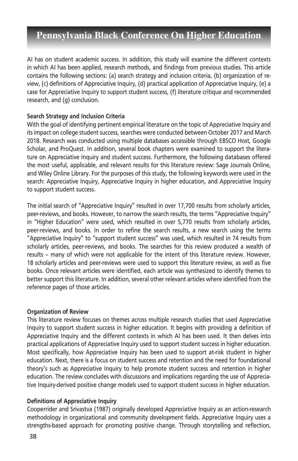AI has on student academic success. In addition, this study will examine the different contexts in which AI has been applied, research methods, and findings from previous studies. This article contains the following sections: (a) search strategy and inclusion criteria, (b) organization of review, (c) definitions of Appreciative Inquiry, (d) practical application of Appreciative Inquiry, (e) a case for Appreciative Inquiry to support student success, (f) literature critique and recommended research, and (g) conclusion.

### **Search Strategy and Inclusion Criteria**

With the goal of identifying pertinent empirical literature on the topic of Appreciative Inquiry and its impact on college student success, searches were conducted between October 2017 and March 2018. Research was conducted using multiple databases accessible through EBSCO Host, Google Scholar, and ProQuest. In addition, several book chapters were examined to support the literature on Appreciative Inquiry and student success. Furthermore, the following databases offered the most useful, applicable, and relevant results for this literature review: Sage Journals Online, and Wiley Online Library. For the purposes of this study, the following keywords were used in the search: Appreciative Inquiry, Appreciative Inquiry in higher education, and Appreciative Inquiry to support student success.

The initial search of "Appreciative Inquiry" resulted in over 17,700 results from scholarly articles, peer-reviews, and books. However, to narrow the search results, the terms "Appreciative Inquiry" in "Higher Education" were used, which resulted in over 5,770 results from scholarly articles, peer-reviews, and books. In order to refine the search results, a new search using the terms "Appreciative Inquiry" to "support student success" was used, which resulted in 74 results from scholarly articles, peer-reviews, and books. The searches for this review produced a wealth of results – many of which were not applicable for the intent of this literature review. However, 18 scholarly articles and peer-reviews were used to support this literature review, as well as five books. Once relevant articles were identified, each article was synthesized to identify themes to better support this literature. In addition, several other relevant articles where identified from the reference pages of those articles.

### **Organization of Review**

This literature review focuses on themes across multiple research studies that used Appreciative Inquiry to support student success in higher education. It begins with providing a definition of Appreciative Inquiry and the different contexts in which AI has been used. It then delves into practical applications of Appreciative Inquiry used to support student success in higher education. Most specifically, how Appreciative Inquiry has been used to support at-risk student in higher education. Next, there is a focus on student success and retention and the need for foundational theory's such as Appreciative Inquiry to help promote student success and retention in higher education. The review concludes with discussions and implications regarding the use of Appreciative Inquiry-derived positive change models used to support student success in higher education.

### **Definitions of Appreciative Inquiry**

Cooperrider and Srivastva (1987) originally developed Appreciative Inquiry as an action-research methodology in organizational and community development fields. Appreciative Inquiry uses a strengths-based approach for promoting positive change. Through storytelling and reflection,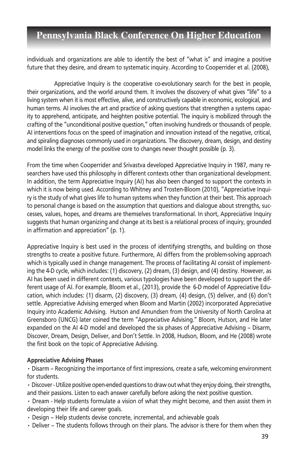individuals and organizations are able to identify the best of "what is" and imagine a positive future that they desire, and dream to systematic inquiry. According to Cooperrider et al. (2008),

Appreciative Inquiry is the cooperative co-evolutionary search for the best in people, their organizations, and the world around them. It involves the discovery of what gives "life" to a living system when it is most effective, alive, and constructively capable in economic, ecological, and human terms. AI involves the art and practice of asking questions that strengthen a systems capacity to apprehend, anticipate, and heighten positive potential. The inquiry is mobilized through the crafting of the "unconditional positive question," often involving hundreds or thousands of people. AI interventions focus on the speed of imagination and innovation instead of the negative, critical, and spiraling diagnoses commonly used in organizations. The discovery, dream, design, and destiny model links the energy of the positive core to changes never thought possible (p. 3).

From the time when Cooperrider and Srivastva developed Appreciative Inquiry in 1987, many researchers have used this philosophy in different contexts other than organizational development. In addition, the term Appreciative Inquiry (AI) has also been changed to support the contexts in which it is now being used. According to Whitney and Trosten-Bloom (2010), "Appreciative Inquiry is the study of what gives life to human systems when they function at their best. This approach to personal change is based on the assumption that questions and dialogue about strengths, successes, values, hopes, and dreams are themselves transformational. In short, Appreciative Inquiry suggests that human organizing and change at its best is a relational process of inquiry, grounded in affirmation and appreciation" (p. 1).

Appreciative Inquiry is best used in the process of identifying strengths, and building on those strengths to create a positive future. Furthermore, AI differs from the problem-solving approach which is typically used in change management. The process of facilitating AI consist of implementing the 4-D cycle, which includes: (1) discovery, (2) dream, (3) design, and (4) destiny. However, as AI has been used in different contexts, various typologies have been developed to support the different usage of AI. For example, Bloom et al., (2013), provide the 6-D model of Appreciative Education, which includes: (1) disarm, (2) discovery, (3) dream, (4) design, (5) deliver, and (6) don't settle. Appreciative Advising emerged when Bloom and Martin (2002) incorporated Appreciative Inquiry into Academic Advising. Hutson and Amundsen from the University of North Carolina at Greensboro (UNCG) later coined the term "Appreciative Advising." Bloom, Hutson, and He later expanded on the AI 4-D model and developed the six phases of Appreciative Advising – Disarm, Discover, Dream, Design, Deliver, and Don't Settle. In 2008, Hudson, Bloom, and He (2008) wrote the first book on the topic of Appreciative Advising.

### **Appreciative Advising Phases**

• Disarm – Recognizing the importance of first impressions, create a safe, welcoming environment for students.

• Discover - Utilize positive open-ended questions to draw out what they enjoy doing, their strengths, and their passions. Listen to each answer carefully before asking the next positive question.

• Dream - Help students formulate a vision of what they might become, and then assist them in developing their life and career goals.

• Design – Help students devise concrete, incremental, and achievable goals

• Deliver – The students follows through on their plans. The advisor is there for them when they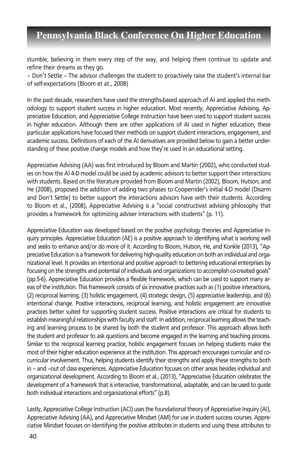stumble, believing in them every step of the way, and helping them continue to update and refine their dreams as they go.

• Don't Settle – The advisor challenges the student to proactively raise the student's internal bar of self-expectations (Bloom et at., 2008)

In the past decade, researchers have used the strengths-based approach of AI and applied this methodology to support student success in higher education. Most recently, Appreciative Advising, Appreciative Education, and Appreciative College Instruction have been used to support student success in higher education. Although there are other applications of AI used in higher education, these particular applications have focused their methods on support student interactions, engagement, and academic success. Definitions of each of the AI derivatives are provided below to gain a better understanding of these positive change models and how they're used in an educational setting.

Appreciative Advising (AA) was first introduced by Bloom and Martin (2002), who conducted studies on how the AI 4-D model could be used by academic advisors to better support their interactions with students. Based on the literature provided from Bloom and Martin (2002), Bloom, Hutson, and He (2008), proposed the addition of adding two phases to Cooperrider's initial 4-D model (Disarm and Don't Settle) to better support the interactions advisors have with their students. According to Bloom et al., (2008), Appreciative Advising is a "social constructivist advising philosophy that provides a framework for optimizing adviser interactions with students" (p. 11).

Appreciative Education was developed based on the positive psychology theories and Appreciative Inquiry principles. Appreciative Education (AE) is a positive approach to identifying what is working well and seeks to enhance and/or do more of it. According to Bloom, Hutson, He, and Konkle (2013), "Appreciative Education is a framework for delivering high-quality education on both an individual and organizational level. It provides an intentional and positive approach to bettering educational enterprises by focusing on the strengths and potential of individuals and organizations to accomplish co-created goals" (pp.5-6). Appreciative Education provides a flexible framework, which can be used to support many areas of the institution. This framework consists of six innovative practices such as (1) positive interactions, (2) reciprocal learning, (3) holistic engagement, (4) strategic design, (5) appreciative leadership, and (6) intentional change. Positive interactions, reciprocal learning, and holistic engagement are innovative practices better suited for supporting student success. Positive interactions are critical for students to establish meaningful relationships with faculty and staff. In addition, reciprocal learning allows the teaching and learning process to be shared by both the student and professor. This approach allows both the student and professor to ask questions and become engaged in the learning and teaching process. Similar to the reciprocal learning practice, holistic engagement focuses on helping students make the most of their higher education experience at the institution. This approach encourages curricular and cocurricular involvement. Thus, helping students identify their strengths and apply these strengths to both in – and –out of class experiences. Appreciative Education focuses on other areas besides individual and organizational development. According to Bloom et al., (2013), "Appreciative Education celebrates the development of a framework that is interactive, transformational, adaptable, and can be used to guide both individual interactions and organizational efforts" (p.8).

Lastly, Appreciative College Instruction (ACI) uses the foundational theory of Appreciative Inquiry (AI), Appreciative Advising (AA), and Appreciative Mindset (AM) for use in student success courses. Appreciative Mindset focuses on identifying the positive attributes in students and using these attributes to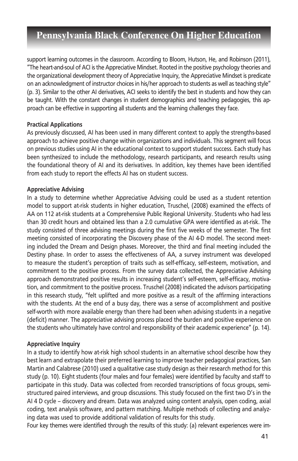support learning outcomes in the classroom. According to Bloom, Hutson, He, and Robinson (2011), "The heart-and-soul of ACI is the Appreciative Mindset. Rooted in the positive psychology theories and the organizational development theory of Appreciative Inquiry, the Appreciative Mindset is predicate on an acknowledgment of instructor choices in his/her approach to students as well as teaching style" (p. 3). Similar to the other AI derivatives, ACI seeks to identify the best in students and how they can be taught. With the constant changes in student demographics and teaching pedagogies, this approach can be effective in supporting all students and the learning challenges they face.

#### **Practical Applications**

As previously discussed, AI has been used in many different context to apply the strengths-based approach to achieve positive change within organizations and individuals. This segment will focus on previous studies using AI in the educational context to support student success. Each study has been synthesized to include the methodology, research participants, and research results using the foundational theory of AI and its derivatives. In addition, key themes have been identified from each study to report the effects AI has on student success.

#### **Appreciative Advising**

In a study to determine whether Appreciative Advising could be used as a student retention model to support at-risk students in higher education, Truschel, (2008) examined the effects of AA on 112 at-risk students at a Comprehensive Public Regional University. Students who had less than 30 credit hours and obtained less than a 2.0 cumulative GPA were identified as at-risk. The study consisted of three advising meetings during the first five weeks of the semester. The first meeting consisted of incorporating the Discovery phase of the AI 4-D model. The second meeting included the Dream and Design phases. Moreover, the third and final meeting included the Destiny phase. In order to assess the effectiveness of AA, a survey instrument was developed to measure the student's perception of traits such as self-efficacy, self-esteem, motivation, and commitment to the positive process. From the survey data collected, the Appreciative Advising approach demonstrated positive results in increasing student's self-esteem, self-efficacy, motivation, and commitment to the positive process. Truschel (2008) indicated the advisors participating in this research study, "felt uplifted and more positive as a result of the affirming interactions with the students. At the end of a busy day, there was a sense of accomplishment and positive self-worth with more available energy than there had been when advising students in a negative (deficit) manner. The appreciative advising process placed the burden and positive experience on the students who ultimately have control and responsibility of their academic experience" (p. 14).

#### **Appreciative Inquiry**

In a study to identify how at-risk high school students in an alternative school describe how they best learn and extrapolate their preferred learning to improve teacher pedagogical practices, San Martin and Calabrese (2010) used a qualitative case study design as their research method for this study (p. 10). Eight students (four males and four females) were identified by faculty and staff to participate in this study. Data was collected from recorded transcriptions of focus groups, semistructured paired interviews, and group discussions. This study focused on the first two D's in the AI 4 D cycle – discovery and dream. Data was analyzed using content analysis, open coding, axial coding, text analysis software, and pattern matching. Multiple methods of collecting and analyzing data was used to provide additional validation of results for this study.

Four key themes were identified through the results of this study: (a) relevant experiences were im-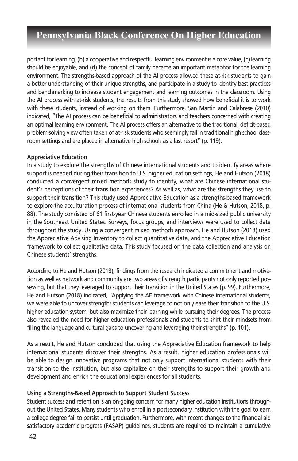portant for learning, (b) a cooperative and respectful learning environment is a core value, (c) learning should be enjoyable, and (d) the concept of family became an important metaphor for the learning environment. The strengths-based approach of the AI process allowed these at-risk students to gain a better understanding of their unique strengths, and participate in a study to identify best practices and benchmarking to increase student engagement and learning outcomes in the classroom. Using the AI process with at-risk students, the results from this study showed how beneficial it is to work with these students, instead of working on them. Furthermore, San Martin and Calabrese (2010) indicated, "The AI process can be beneficial to administrators and teachers concerned with creating an optimal learning environment. The AI process offers an alternative to the traditional, deficit-based problem-solving view often taken of at-risk students who seemingly fail in traditional high school classroom settings and are placed in alternative high schools as a last resort" (p. 119).

#### **Appreciative Education**

In a study to explore the strengths of Chinese international students and to identify areas where support is needed during their transition to U.S. higher education settings, He and Hutson (2018) conducted a convergent mixed methods study to identify, what are Chinese international student's perceptions of their transition experiences? As well as, what are the strengths they use to support their transition? This study used Appreciative Education as a strengths-based framework to explore the acculturation process of international students from China (He & Hutson, 2018, p. 88). The study consisted of 61 first-year Chinese students enrolled in a mid-sized public university in the Southeast United States. Surveys, focus groups, and interviews were used to collect data throughout the study. Using a convergent mixed methods approach, He and Hutson (2018) used the Appreciative Advising Inventory to collect quantitative data, and the Appreciative Education framework to collect qualitative data. This study focused on the data collection and analysis on Chinese students' strengths.

According to He and Hutson (2018), findings from the research indicated a commitment and motivation as well as network and community are two areas of strength participants not only reported possessing, but that they leveraged to support their transition in the United States (p. 99). Furthermore, He and Hutson (2018) indicated, "Applying the AE framework with Chinese international students, we were able to uncover strengths students can leverage to not only ease their transition to the U.S. higher education system, but also maximize their learning while pursuing their degrees. The process also revealed the need for higher education professionals and students to shift their mindsets from filling the language and cultural gaps to uncovering and leveraging their strengths" (p. 101).

As a result, He and Hutson concluded that using the Appreciative Education framework to help international students discover their strengths. As a result, higher education professionals will be able to design innovative programs that not only support international students with their transition to the institution, but also capitalize on their strengths to support their growth and development and enrich the educational experiences for all students.

### **Using a Strengths-Based Approach to Support Student Success**

Student success and retention is an on-going concern for many higher education institutions throughout the United States. Many students who enroll in a postsecondary institution with the goal to earn a college degree fail to persist until graduation. Furthermore, with recent changes to the financial aid satisfactory academic progress (FASAP) guidelines, students are required to maintain a cumulative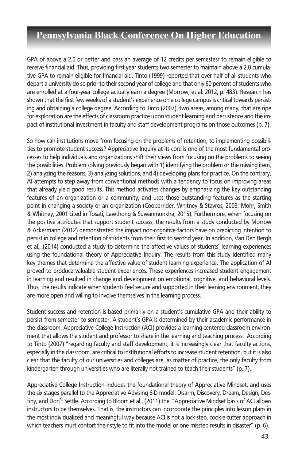GPA of above a 2.0 or better and pass an average of 12 credits per semestesr to remain eligible to receive financial aid. Thus, providing first-year students two semester to maintain above a 2.0 cumulative GPA to remain eligible for financial aid. Tinto (1999) reported that over half of all students who depart a university do so prior to their second year of college and that only 60 percent of students who are enrolled at a four-year college actually earn a degree (Morrow, et al. 2012, p. 483). Research has shown that the first few weeks of a student's experience on a college campus is critical towards persisting and obtaining a college degree. According to Tinto (2007), two areas, among many, that are ripe for exploration are the effects of classroom practice upon student learning and persistence and the impact of institutional investment in faculty and staff development programs on those outcomes (p. 7).

So how can institutions move from focusing on the problems of retention, to implementing possibilities to promote student success? Appreciative Inquiry at its core is one of the most fundamental processes to help individuals and organizations shift their views from focusing on the problems to seeing the possibilities. Problem solving previously began with 1) identifying the problem or the missing item, 2) analyzing the reasons, 3) analyzing solutions, and 4) developing plans for practice. On the contrary, AI attempts to step away from conventional methods with a tendency to focus on improving areas that already yield good results. This method activates changes by emphasizing the key outstanding features of an organization or a community, and uses those outstanding features as the starting point in changing a society or an organization (Cooperrider, Whitney & Stavros, 2003; Mohr, Smith & Whitney, 2001 cited in Tosati, Lawthong & Suwanmonkha, 2015). Furthermore, when focusing on the positive attributes that support student success, the results from a study conducted by Morrow & Ackermann (2012) demonstrated the impact non-cognitive factors have on predicting intention to persist in college and retention of students from their first to second year. In addition, Van Den Bergh et al., (2014) conducted a study to determine the affective values of students' learning experiences using the foundational theory of Appreciative Inquiry. The results from this study identified many key themes that determine the affective value of student learning experience. The application of AI proved to produce valuable student experiences. These experiences increased student engagement in learning and resulted in change and development on emotional, cognitive, and behavioral levels. Thus, the results indicate when students feel secure and supported in their leaning environment, they are more open and willing to involve themselves in the learning process.

Student success and retention is based primarily on a student's cumulative GPA and their ability to persist from semester to semester. A student's GPA is determined by their academic performance in the classroom. Appreciative College Instruction (ACI) provides a learning-centered classroom environment that allows the student and professor to share in the learning and teaching process. According to Tinto (2007) "regarding faculty and staff development, it is increasingly clear that faculty actions, especially in the classroom, are critical to institutional efforts to increase student retention, but it is also clear that the faculty of our universities and colleges are, as matter of practice, the only faculty from kindergarten through universities who are literally not trained to teach their students" (p. 7).

Appreciative College Instruction includes the foundational theory of Appreciative Mindset, and uses the six stages parallel to the Appreciative Advising 6-D model: Disarm, Discovery, Dream, Design, Destiny, and Don't Settle. According to Bloom et al., (2011) the "Appreciative Mindset basis of ACI allows instructors to be themselves. That is, the instructors can incorporate the principles into lesson plans in the most individualized and meaningful way because ACI is not a lock-step, cookie-cutter approach in which teachers must contort their style to fit into the model or one misstep results in disaster" (p. 6).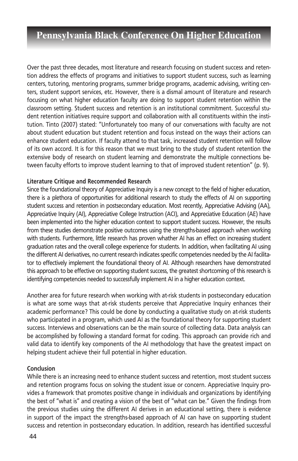Over the past three decades, most literature and research focusing on student success and retention address the effects of programs and initiatives to support student success, such as learning centers, tutoring, mentoring programs, summer bridge programs, academic advising, writing centers, student support services, etc. However, there is a dismal amount of literature and research focusing on what higher education faculty are doing to support student retention within the classroom setting. Student success and retention is an institutional commitment. Successful student retention initiatives require support and collaboration with all constituents within the institution. Tinto (2007) stated: "Unfortunately too many of our conversations with faculty are not about student education but student retention and focus instead on the ways their actions can enhance student education. If faculty attend to that task, increased student retention will follow of its own accord. It is for this reason that we must bring to the study of student retention the extensive body of research on student learning and demonstrate the multiple connections between faculty efforts to improve student learning to that of improved student retention" (p. 9).

#### **Literature Critique and Recommended Research**

Since the foundational theory of Appreciative Inquiry is a new concept to the field of higher education, there is a plethora of opportunities for additional research to study the effects of AI on supporting student success and retention in postsecondary education. Most recently, Appreciative Advising (AA), Appreciative Inquiry (AI), Appreciative College Instruction (ACI), and Appreciative Education (AE) have been implemented into the higher education context to support student success. However, the results from these studies demonstrate positive outcomes using the strengths-based approach when working with students. Furthermore, little research has proven whather AI has an effect on increasing student graduation rates and the overall college experience for students. In addition, when facilitating AI using the different AI derivatives, no current research indicates specific competencies needed by the AI facilitator to effectively implement the foundational theory of AI. Although researchers have demonstrated this approach to be effective on supporting student success, the greatest shortcoming of this research is identifying competencies needed to successfully implement AI in a higher education context.

Another area for future research when working with at-risk students in postsecondary education is what are some ways that at-risk students perceive that Appreciative Inquiry enhances their academic performance? This could be done by conducting a qualitative study on at-risk students who participated in a program, which used AI as the foundational theory for supporting student success. Interviews and observations can be the main source of collecting data. Data analysis can be accomplished by following a standard format for coding. This approach can provide rich and valid data to identify key components of the AI methodology that have the greatest impact on helping student achieve their full potential in higher education.

#### **Conclusion**

While there is an increasing need to enhance student success and retention, most student success and retention programs focus on solving the student issue or concern. Appreciative Inquiry provides a framework that promotes positive change in individuals and organizations by identifying the best of "what is" and creating a vision of the best of "what can be." Given the findings from the previous studies using the different AI derives in an educational setting, there is evidence in support of the impact the strengths-based approach of AI can have on supporting student success and retention in postsecondary education. In addition, research has identified successful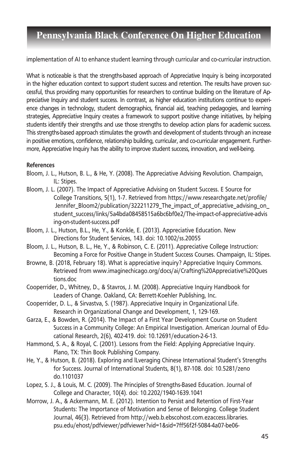implementation of AI to enhance student learning through curricular and co-curricular instruction.

What is noticeable is that the strengths-based approach of Appreciative Inquiry is being incorporated in the higher education context to support student success and retention. The results have proven successful, thus providing many opportunities for researchers to continue building on the literature of Appreciative Inquiry and student success. In contrast, as higher education institutions continue to experience changes in technology, student demographics, financial aid, teaching pedagogies, and learning strategies, Appreciative Inquiry creates a framework to support positive change initiatives, by helping students identify their strengths and use those strengths to develop action plans for academic success. This strengths-based approach stimulates the growth and development of students through an increase in positive emotions, confidence, relationship building, curricular, and co-curricular engagement. Furthermore, Appreciative Inquiry has the ability to improve student success, innovation, and well-being.

#### **References**

- Bloom, J. L., Hutson, B. L., & He, Y. (2008). The Appreciative Advising Revolution. Champaign, IL: Stipes.
- Bloom, J. L. (2007). The Impact of Appreciative Advising on Student Success. E Source for College Transitions, 5(1), 1-7. Retrieved from https://www.researchgate.net/profile/ Jennifer Bloom2/publication/322211279 The impact of appreciative advising on student\_success/links/5a4bda08458515a6bc6bf0e2/The-impact-of-appreciative-advis ing-on-student-success.pdf
- Bloom, J. L., Hutson, B.L., He, Y., & Konkle, E. (2013). Appreciative Education. New Directions for Student Services, 143. doi: 10.1002/ss.20055
- Bloom, J. L., Hutson, B. L., He, Y., & Robinson, C. E. (2011). Appreciative College Instruction: Becoming a Force for Positive Change in Student Success Courses. Champaign, IL: Stipes.
- Browne, B. (2018, February 18). What is appreciative inquiry? Appreciative Inquiry Commons. Retrieved from www.imaginechicago.org/docs/ai/Crafting%20Appreciative%20Ques tions.doc
- Cooperrider, D., Whitney, D., & Stavros, J. M. (2008). Appreciative Inquiry Handbook for Leaders of Change. Oakland, CA: Berrett-Koehler Publishing, Inc.
- Cooperrider, D. L., & Sirvastva, S. (1987). Appreciative Inquiry in Organizational Life. Research in Organizational Change and Development, 1, 129-169.
- Garza, E., & Bowden, R. (2014). The Impact of a First Year Development Course on Student Success in a Community College: An Empirical Investigation. American Journal of Educational Research, 2(6), 402-419. doi: 10.12691/education-2-6-13.
- Hammond, S. A., & Royal, C. (2001). Lessons from the Field: Applying Appreciative Inquiry. Plano, TX: Thin Book Publishing Company.
- He, Y., & Hutson, B. (2018). Exploring and lLveraging Chinese International Student's Strengths for Success. Journal of International Students, 8(1), 87-108. doi: 10.5281/zeno do.1101037
- Lopez, S. J., & Louis, M. C. (2009). The Principles of Strengths-Based Education. Journal of College and Character, 10(4). doi: 10.2202/1940-1639.1041
- Morrow, J. A., & Ackermann, M. E. (2012). Intention to Persist and Retention of First-Year Students: The Importance of Motivation and Sense of Belonging. College Student Journal, 46(3). Retrieved from http://web.b.ebscohost.com.ezaccess.libraries. psu.edu/ehost/pdfviewer/pdfviewer?vid=1&sid=7ff56f2f-5084-4a07-be06-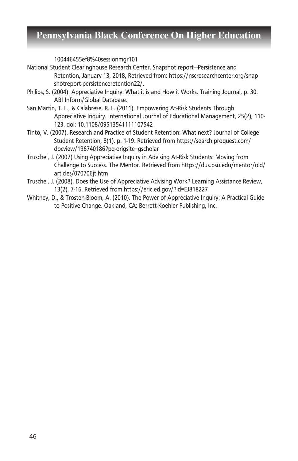100446455ef8%40sessionmgr101

- National Student Clearinghouse Research Center, Snapshot report—Persistence and Retention, January 13, 2018, Retrieved from: https://nscresearchcenter.org/snap shotreport-persistenceretention22/.
- Philips, S. (2004). Appreciative Inquiry: What it is and How it Works. Training Journal, p. 30. ABI Inform/Global Database.
- San Martin, T. L., & Calabrese, R. L. (2011). Empowering At-Risk Students Through Appreciative Inquiry. International Journal of Educational Management, 25(2), 110- 123. doi: 10.1108/09513541111107542
- Tinto, V. (2007). Research and Practice of Student Retention: What next? Journal of College Student Retention, 8(1). p. 1-19. Retrieved from https://search.proquest.com/ docview/196740186?pq-origsite=gscholar
- Truschel, J. (2007) Using Appreciative Inquiry in Advising At-Risk Students: Moving from Challenge to Success. The Mentor. Retrieved from https://dus.psu.edu/mentor/old/ articles/070706jt.htm
- Truschel, J. (2008). Does the Use of Appreciative Advising Work? Learning Assistance Review, 13(2), 7-16. Retrieved from https://eric.ed.gov/?id=EJ818227
- Whitney, D., & Trosten-Bloom, A. (2010). The Power of Appreciative Inquiry: A Practical Guide to Positive Change. Oakland, CA: Berrett-Koehler Publishing, Inc.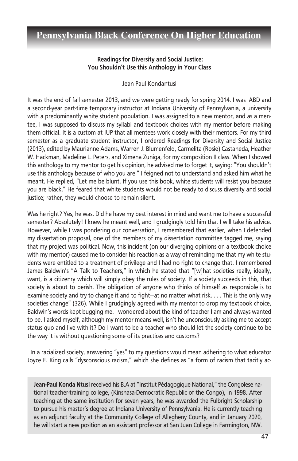#### **Readings for Diversity and Social Justice: You Shouldn't Use this Anthology in Your Class**

Jean Paul Kondantusi

It was the end of fall semester 2013, and we were getting ready for spring 2014. I was ABD and a second-year part-time temporary instructor at Indiana University of Pennsylvania, a university with a predominantly white student population. I was assigned to a new mentor, and as a mentee, I was supposed to discuss my syllabi and textbook choices with my mentor before making them official. It is a custom at IUP that all mentees work closely with their mentors. For my third semester as a graduate student instructor, I ordered Readings for Diversity and Social Justice (2013), edited by Maurianne Adams, Warren J. Blumenfeld, Carmelita (Rosie) Castaneda, Heather W. Hackman, Madeline L. Peters, and Ximena Zuniga, for my composition II class. When I showed this anthology to my mentor to get his opinion, he advised me to forget it, saying: "You shouldn't use this anthology because of who you are." I feigned not to understand and asked him what he meant. He replied, "Let me be blunt. If you use this book, white students will resist you because you are black." He feared that white students would not be ready to discuss diversity and social justice; rather, they would choose to remain silent.

Was he right? Yes, he was. Did he have my best interest in mind and want me to have a successful semester? Absolutely! I knew he meant well, and I grudgingly told him that I will take his advice. However, while I was pondering our conversation, I remembered that earlier, when I defended my dissertation proposal, one of the members of my dissertation committee tagged me, saying that my project was political. Now, this incident (on our diverging opinions on a textbook choice with my mentor) caused me to consider his reaction as a way of reminding me that my white students were entitled to a treatment of privilege and I had no right to change that. I remembered James Baldwin's "A Talk to Teachers," in which he stated that "[w]hat societies really, ideally, want, is a citizenry which will simply obey the rules of society. If a society succeeds in this, that society is about to perish. The obligation of anyone who thinks of himself as responsible is to examine society and try to change it and to fight—at no matter what risk. . . . This is the only way societies change" (326). While I grudgingly agreed with my mentor to drop my textbook choice, Baldwin's words kept bugging me. I wondered about the kind of teacher I am and always wanted to be. I asked myself, although my mentor means well, isn't he unconsciously asking me to accept status quo and live with it? Do I want to be a teacher who should let the society continue to be the way it is without questioning some of its practices and customs?

 In a racialized society, answering "yes" to my questions would mean adhering to what educator Joyce E. King calls "dysconscious racism," which she defines as "a form of racism that tacitly ac-

**Jean-Paul Konda Ntusi** received his B.A at "Institut Pédagogique National," the Congolese national teacher-training college, (Kinshasa-Democratic Republic of the Congo), in 1998. After teaching at the same institution for seven years, he was awarded the Fulbright Scholarship to pursue his master's degree at Indiana University of Pennsylvania. He is currently teaching as an adjunct faculty at the Community College of Allegheny County, and in January 2020, he will start a new position as an assistant professor at San Juan College in Farmington, NW.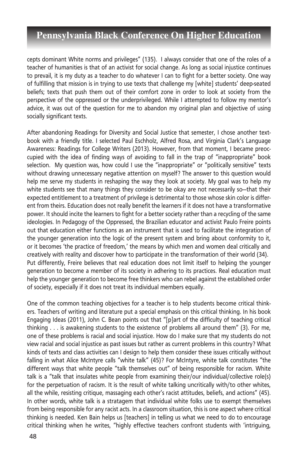cepts dominant White norms and privileges" (135). I always consider that one of the roles of a teacher of humanities is that of an activist for social change. As long as social injustice continues to prevail, it is my duty as a teacher to do whatever I can to fight for a better society. One way of fulfilling that mission is in trying to use texts that challenge my [white] students' deep-seated beliefs; texts that push them out of their comfort zone in order to look at society from the perspective of the oppressed or the underprivileged. While I attempted to follow my mentor's advice, it was out of the question for me to abandon my original plan and objective of using socially significant texts.

After abandoning Readings for Diversity and Social Justice that semester, I chose another textbook with a friendly title. I selected Paul Eschholz, Alfred Rosa, and Virginia Clark's Language Awareness: Readings for College Writers (2013). However, from that moment, I became preoccupied with the idea of finding ways of avoiding to fall in the trap of "inappropriate" book selection. My question was, how could I use the "inappropriate" or "politically sensitive" texts without drawing unnecessary negative attention on myself? The answer to this question would help me serve my students in reshaping the way they look at society. My goal was to help my white students see that many things they consider to be okay are not necessarily so—that their expected entitlement to a treatment of privilege is detrimental to those whose skin color is different from theirs. Education does not really benefit the learners if it does not have a transformative power. It should incite the learners to fight for a better society rather than a recycling of the same ideologies. In Pedagogy of the Oppressed, the Brazilian educator and activist Paulo Freire points out that education either functions as an instrument that is used to facilitate the integration of the younger generation into the logic of the present system and bring about conformity to it, or it becomes 'the practice of freedom,' the means by which men and women deal critically and creatively with reality and discover how to participate in the transformation of their world (34). Put differently, Freire believes that real education does not limit itself to helping the younger generation to become a member of its society in adhering to its practices. Real education must help the younger generation to become free thinkers who can rebel against the established order of society, especially if it does not treat its individual members equally.

One of the common teaching objectives for a teacher is to help students become critical thinkers. Teachers of writing and literature put a special emphasis on this critical thinking. In his book Engaging Ideas (2011), John C. Bean points out that "[p]art of the difficulty of teaching critical thinking . . . is awakening students to the existence of problems all around them" (3). For me, one of these problems is racial and social injustice. How do I make sure that my students do not view racial and social injustice as past issues but rather as current problems in this country? What kinds of texts and class activities can I design to help them consider these issues critically without falling in what Alice McIntyre calls "white talk" (45)? For McIntyre, white talk constitutes "the different ways that white people "talk themselves out" of being responsible for racism. White talk is a "talk that insulates white people from examining their/our individual/collective role(s) for the perpetuation of racism. It is the result of white talking uncritically with/to other whites, all the while, resisting critique, massaging each other's racist attitudes, beliefs, and actions" (45). In other words, white talk is a stratagem that individual white folks use to exempt themselves from being responsible for any racist acts. In a classroom situation, this is one aspect where critical thinking is needed. Ken Bain helps us [teachers] in telling us what we need to do to encourage critical thinking when he writes, "highly effective teachers confront students with 'intriguing,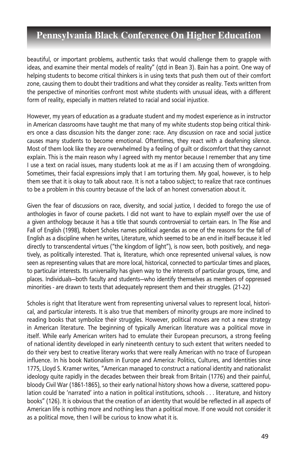beautiful, or important problems, authentic tasks that would challenge them to grapple with ideas, and examine their mental models of reality" (qtd in Bean 3). Bain has a point. One way of helping students to become critical thinkers is in using texts that push them out of their comfort zone, causing them to doubt their traditions and what they consider as reality. Texts written from the perspective of minorities confront most white students with unusual ideas, with a different form of reality, especially in matters related to racial and social injustice.

However, my years of education as a graduate student and my modest experience as in instructor in American classrooms have taught me that many of my white students stop being critical thinkers once a class discussion hits the danger zone: race. Any discussion on race and social justice causes many students to become emotional. Oftentimes, they react with a deafening silence. Most of them look like they are overwhelmed by a feeling of guilt or discomfort that they cannot explain. This is the main reason why I agreed with my mentor because I remember that any time I use a text on racial issues, many students look at me as if I am accusing them of wrongdoing. Sometimes, their facial expressions imply that I am torturing them. My goal, however, is to help them see that it is okay to talk about race. It is not a taboo subject; to realize that race continues to be a problem in this country because of the lack of an honest conversation about it.

Given the fear of discussions on race, diversity, and social justice, I decided to forego the use of anthologies in favor of course packets. I did not want to have to explain myself over the use of a given anthology because it has a title that sounds controversial to certain ears. In The Rise and Fall of English (1998), Robert Scholes names political agendas as one of the reasons for the fall of English as a discipline when he writes, Literature, which seemed to be an end in itself because it led directly to transcendental virtues ("the kingdom of light"), is now seen, both positively, and negatively, as politically interested. That is, literature, which once represented universal values, is now seen as representing values that are more local, historical, connected to particular times and places, to particular interests. Its universality has given way to the interests of particular groups, time, and places. Individuals—both faculty and students—who identify themselves as members of oppressed minorities - are drawn to texts that adequately represent them and their struggles. (21-22)

Scholes is right that literature went from representing universal values to represent local, historical, and particular interests. It is also true that members of minority groups are more inclined to reading books that symbolize their struggles. However, political moves are not a new strategy in American literature. The beginning of typically American literature was a political move in itself. While early American writers had to emulate their European precursors, a strong feeling of national identity developed in early nineteenth century to such extent that writers needed to do their very best to creative literary works that were really American with no trace of European influence. In his book Nationalism in Europe and America: Politics, Cultures, and Identities since 1775, Lloyd S. Kramer writes, "American managed to construct a national identity and nationalist ideology quite rapidly in the decades between their break from Britain (1776) and their painful, bloody Civil War (1861-1865), so their early national history shows how a diverse, scattered population could be 'narrated' into a nation in political institutions, schools . . . literature, and history books" (126). It is obvious that the creation of an identity that would be reflected in all aspects of American life is nothing more and nothing less than a political move. If one would not consider it as a political move, then I will be curious to know what it is.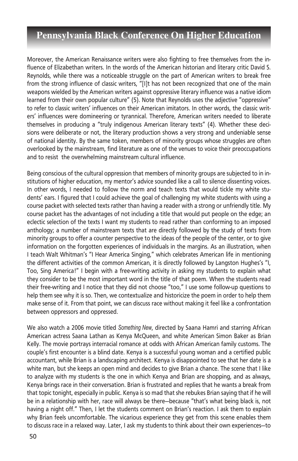Moreover, the American Renaissance writers were also fighting to free themselves from the influence of Elizabethan writers. In the words of the American historian and literary critic David S. Reynolds, while there was a noticeable struggle on the part of American writers to break free from the strong influence of classic writers, "[I]t has not been recognized that one of the main weapons wielded by the American writers against oppressive literary influence was a native idiom learned from their own popular culture" (5). Note that Reynolds uses the adjective "oppressive" to refer to classic writers' influences on their American imitators. In other words, the classic writers' influences were domineering or tyrannical. Therefore, American writers needed to liberate themselves in producing a "truly indigenous American literary texts" (4). Whether these decisions were deliberate or not, the literary production shows a very strong and undeniable sense of national identity. By the same token, members of minority groups whose struggles are often overlooked by the mainstream, find literature as one of the venues to voice their preoccupations and to resist the overwhelming mainstream cultural influence.

Being conscious of the cultural oppression that members of minority groups are subjected to in institutions of higher education, my mentor's advice sounded like a call to silence dissenting voices. In other words, I needed to follow the norm and teach texts that would tickle my white students' ears. I figured that I could achieve the goal of challenging my white students with using a course packet with selected texts rather than having a reader with a strong or unfriendly title. My course packet has the advantages of not including a title that would put people on the edge; an eclectic selection of the texts I want my students to read rather than conforming to an imposed anthology; a number of mainstream texts that are directly followed by the study of texts from minority groups to offer a counter perspective to the ideas of the people of the center, or to give information on the forgotten experiences of individuals in the margins. As an illustration, when I teach Walt Whitman's "I Hear America Singing," which celebrates American life in mentioning the different activities of the common American, it is directly followed by Langston Hughes's "I, Too, Sing America!" I begin with a free-writing activity in asking my students to explain what they consider to be the most important word in the title of that poem. When the students read their free-writing and I notice that they did not choose "too," I use some follow-up questions to help them see why it is so. Then, we contextualize and historicize the poem in order to help them make sense of it. From that point, we can discuss race without making it feel like a confrontation between oppressors and oppressed.

We also watch a 2006 movie titled *Something New*, directed by Saana Hamri and starring African American actress Saana Lathan as Kenya McQueen, and white American Simon Baker as Brian Kelly. The movie portrays interracial romance at odds with African American family customs. The couple's first encounter is a blind date. Kenya is a successful young woman and a certified public accountant, while Brian is a landscaping architect. Kenya is disappointed to see that her date is a white man, but she keeps an open mind and decides to give Brian a chance. The scene that I like to analyze with my students is the one in which Kenya and Brian are shopping, and as always, Kenya brings race in their conversation. Brian is frustrated and replies that he wants a break from that topic tonight, especially in public. Kenya is so mad that she rebukes Brian saying that if he will be in a relationship with her, race will always be there—because "that's what being black is, not having a night off." Then, I let the students comment on Brian's reaction. I ask them to explain why Brian feels uncomfortable. The vicarious experience they get from this scene enables them to discuss race in a relaxed way. Later, I ask my students to think about their own experiences—to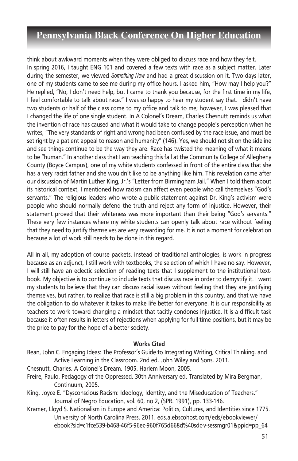think about awkward moments when they were obliged to discuss race and how they felt. In spring 2016, I taught ENG 101 and covered a few texts with race as a subject matter. Later during the semester, we viewed *Something New* and had a great discussion on it. Two days later, one of my students came to see me during my office hours. I asked him, "How may I help you?" He replied, "No, I don't need help, but I came to thank you because, for the first time in my life, I feel comfortable to talk about race." I was so happy to hear my student say that. I didn't have two students or half of the class come to my office and talk to me; however, I was pleased that I changed the life of one single student. In A Colonel's Dream, Charles Chesnutt reminds us what the invention of race has caused and what it would take to change people's perception when he writes, "The very standards of right and wrong had been confused by the race issue, and must be set right by a patient appeal to reason and humanity" (146). Yes, we should not sit on the sideline and see things continue to be the way they are. Race has twisted the meaning of what it means to be "human." In another class that I am teaching this fall at the Community College of Allegheny County (Boyce Campus), one of my white students confessed in front of the entire class that she has a very racist father and she wouldn't like to be anything like him. This revelation came after our discussion of Martin Luther King, Jr.'s "Letter from Birmingham Jail." When I told them about its historical context, I mentioned how racism can affect even people who call themselves "God's servants." The religious leaders who wrote a public statement against Dr. King's activism were people who should normally defend the truth and reject any form of injustice. However, their statement proved that their whiteness was more important than their being "God's servants." These very few instances where my white students can openly talk about race without feeling that they need to justify themselves are very rewarding for me. It is not a moment for celebration because a lot of work still needs to be done in this regard.

All in all, my adoption of course packets, instead of traditional anthologies, is work in progress because as an adjunct, I still work with textbooks, the selection of which I have no say. However, I will still have an eclectic selection of reading texts that I supplement to the institutional textbook. My objective is to continue to include texts that discuss race in order to demystify it. I want my students to believe that they can discuss racial issues without feeling that they are justifying themselves, but rather, to realize that race is still a big problem in this country, and that we have the obligation to do whatever it takes to make life better for everyone. It is our responsibility as teachers to work toward changing a mindset that tacitly condones injustice. It is a difficult task because it often results in letters of rejections when applying for full time positions, but it may be the price to pay for the hope of a better society.

#### **Works Cited**

- Bean, John C. Engaging Ideas: The Professor's Guide to Integrating Writing, Critical Thinking, and Active Learning in the Classroom. 2nd ed. John Wiley and Sons, 2011.
- Chesnutt, Charles. A Colonel's Dream. 1905. Harlem Moon, 2005.
- Freire, Paulo. Pedagogy of the Oppressed. 30th Anniversary ed. Translated by Mira Bergman, Continuum, 2005.
- King, Joyce E. "Dysconscious Racism: Ideology, Identity, and the Miseducation of Teachers." Journal of Negro Education, vol. 60, no 2, (SPR. 1991), pp. 133-146.
- Kramer, Lloyd S. Nationalism in Europe and America: Politics, Cultures, and Identities since 1775. University of North Carolina Press, 2011. eds.a.ebscohost.com/eds/ebookviewer/ ebook?sid=c1fce539-b468-46f5-96ec-960f765d668d%40sdc-v-sessmgr01&ppid=pp\_64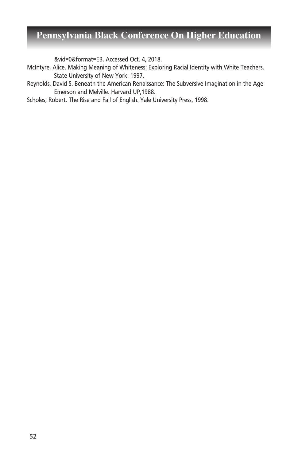&vid=0&format=EB. Accessed Oct. 4, 2018.

- McIntyre, Alice. Making Meaning of Whiteness: Exploring Racial Identity with White Teachers. State University of New York: 1997.
- Reynolds, David S. Beneath the American Renaissance: The Subversive Imagination in the Age Emerson and Melville. Harvard UP,1988.

Scholes, Robert. The Rise and Fall of English. Yale University Press, 1998.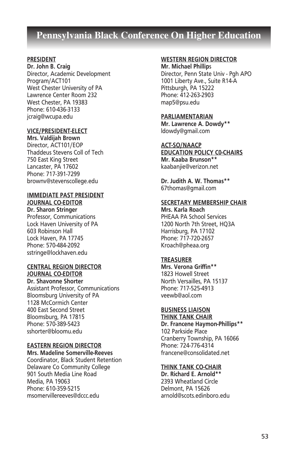#### **PRESIDENT**

**Dr. John B. Craig** Director, Academic Development Program/ACT101 West Chester University of PA Lawrence Center Room 232 West Chester, PA 19383 Phone: 610-436-3133 jcraig@wcupa.edu

#### **VICE/PRESIDENT-ELECT**

**Mrs. Valdijah Brown** Director, ACT101/EOP Thaddeus Stevens Coll of Tech 750 East King Street Lancaster, PA 17602 Phone: 717-391-7299 brownv@stevenscollege.edu

#### **IMMEDIATE PAST PRESIDENT JOURNAL CO-EDITOR**

**Dr. Sharon Stringer** Professor, Communications Lock Haven University of PA 603 Robinson Hall Lock Haven, PA 17745 Phone: 570-484-2092 sstringe@lockhaven.edu

#### **CENTRAL REGION DIRECTOR JOURNAL CO-EDITOR**

**Dr. Shavonne Shorter** Assistant Professor, Communications Bloomsburg University of PA 1128 McCormich Center 400 East Second Street Bloomsburg, PA 17815 Phone: 570-389-5423 sshorter@bloomu.edu

#### **EASTERN REGION DIRECTOR**

**Mrs. Madeline Somerville-Reeves** Coordinator, Black Student Retention Delaware Co Community College 901 South Media Line Road Media, PA 19063 Phone: 610-359-5215 msomervillereeves@dccc.edu

#### **WESTERN REGION DIRECTOR**

**Mr. Michael Phillip**s Director, Penn State Univ - Pgh APO 1001 Liberty Ave., Suite R14-A Pittsburgh, PA 15222 Phone: 412-263-2903 map5@psu.edu

#### **PARLIAMENTARIAN**

**Mr. Lawrence A. Dowdy\*\*** ldowdy@gmail.com

### **ACT-SO/NAACP**

**EDUCATION POLICY C0-CHAIRS Mr. Kaaba Brunson\*\*** kaabanjie@verizon.net

**Dr. Judith A. W. Thomas\*\*** 67thomas@gmail.com

#### **SECRETARY MEMBERSHIP CHAIR**

**Mrs. Karla Roach** PHEAA PA School Services 1200 North 7th Street, HQ3A Harrisburg, PA 17102 Phone: 717-720-2657 Kroach@pheaa.org

#### **TREASURER**

**Mrs. Verona Griffin\*\*** 1823 Howell Street North Versailles, PA 15137 Phone: 717-525-4913 veewb@aol.com

### **BUSINESS LIAISON**

**THINK TANK CHAIR Dr. Francene Haymon-Phillips\*\*** 102 Parkside Place Cranberry Township, PA 16066 Phone: 724-776-4314 francene@consolidated.net

#### **THINK TANK CO-CHAIR**

**Dr. Richard E. Arnold\*\*** 2393 Wheatland Circle Delmont, PA 15626 arnold@scots.edinboro.edu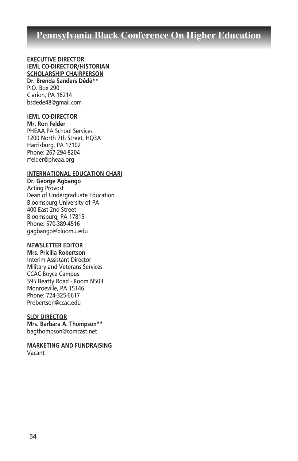#### **EXECUTIVE DIRECTOR IEML CO-DIRECTOR/HISTORIAN SCHOLARSHIP CHAIRPERSON Dr. Brenda Sanders Dédé\*\***

P.O. Box 290 Clarion, PA 16214 bsdede48@gmail.com

#### **IEML CO-DIRECTOR**

**Mr. Ron Felder** PHEAA PA School Services 1200 North 7th Street, HQ3A Harrisburg, PA 17102 Phone: 267-294-8204 rfelder@pheaa.org

#### **INTERNATIONAL EDUCATION CHARI**

**Dr. George Agbango** Acting Provost Dean of Undergraduate Education Bloomsburg University of PA 400 East 2nd Street Bloomsburg, PA 17815 Phone: 570-389-4516 gagbango@bloomu.edu

#### **NEWSLETTER EDITOR**

**Mrs. Pricilla Robertson** Interim Assistant Director Military and Veterans Services CCAC Boyce Campus 595 Beatty Road - Room N503 Monroeville, PA 15146 Phone: 724-325-6617 Probertson@ccac.edu

#### **SLDI DIRECTOR**

**Mrs. Barbara A. Thompson\*\*** bagthompson@comcast.net

**MARKETING AND FUNDRAISING** Vacant